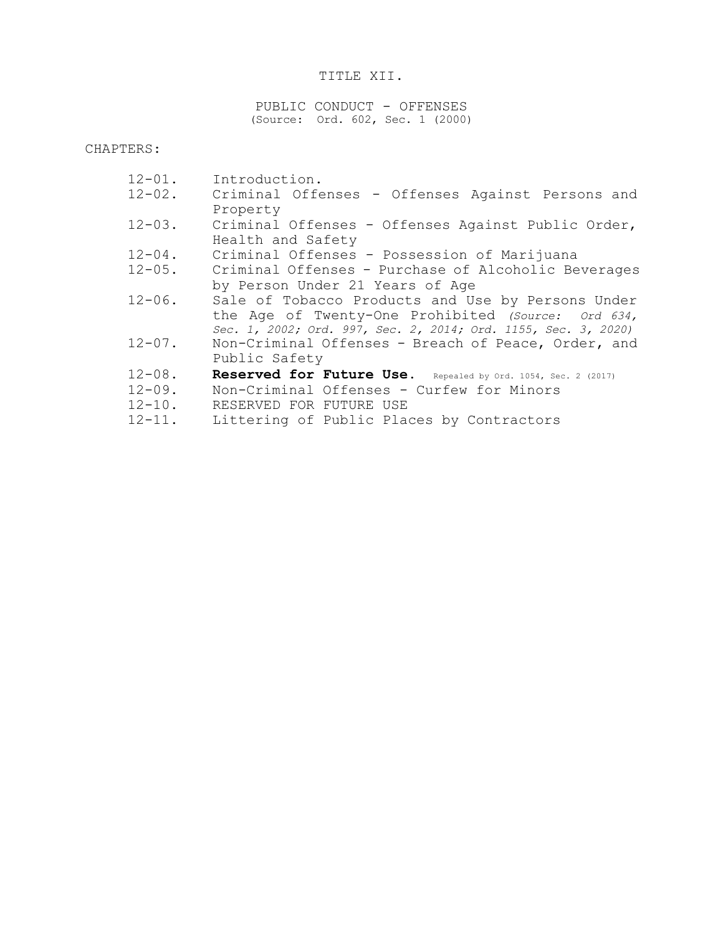### TITLE XII.

PUBLIC CONDUCT - OFFENSES (Source: Ord. 602, Sec. 1 (2000)

CHAPTERS:

| $12 - 01$ . | Introduction.                                                  |
|-------------|----------------------------------------------------------------|
| $12 - 02$ . | Criminal Offenses - Offenses Against Persons and               |
|             | Property                                                       |
| $12 - 03$ . | Criminal Offenses - Offenses Against Public Order,             |
|             | Health and Safety                                              |
| $12 - 04$ . | Criminal Offenses - Possession of Marijuana                    |
| $12 - 05$ . | Criminal Offenses - Purchase of Alcoholic Beverages            |
|             | by Person Under 21 Years of Age                                |
| $12 - 06$ . | Sale of Tobacco Products and Use by Persons Under              |
|             | the Age of Twenty-One Prohibited (Source: Ord 634,             |
|             | Sec. 1, 2002; Ord. 997, Sec. 2, 2014; Ord. 1155, Sec. 3, 2020) |
| $12 - 07$ . | Non-Criminal Offenses - Breach of Peace, Order, and            |
|             | Public Safety                                                  |
| $12 - 08$ . | Reserved for Future Use. Repealed by Ord. 1054, Sec. 2 (2017)  |
| $12 - 09$ . | Non-Criminal Offenses - Curfew for Minors                      |
| $12 - 10$ . | RESERVED FOR FUTURE USE                                        |
| $12 - 11$ . | Littering of Public Places by Contractors                      |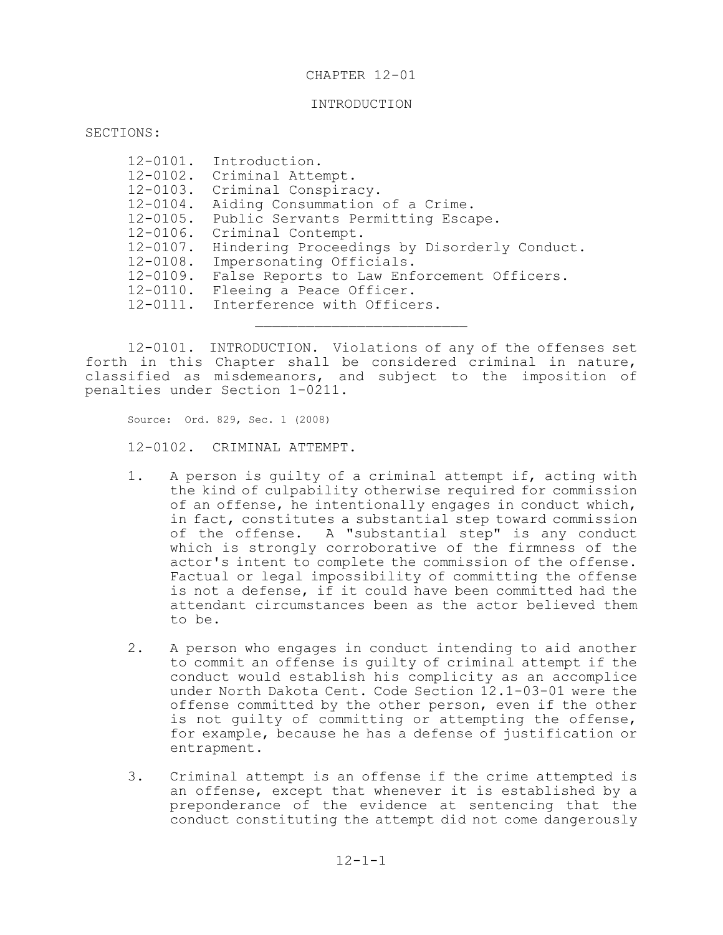#### CHAPTER 12-01

#### INTRODUCTION

SECTIONS:

|               | 12-0101. Introduction.                       |
|---------------|----------------------------------------------|
|               | 12-0102. Criminal Attempt.                   |
|               | 12-0103. Criminal Conspiracy.                |
| $12 - 0104$ . | Aiding Consummation of a Crime.              |
| $12 - 0105$ . | Public Servants Permitting Escape.           |
| $12 - 0106$ . | Criminal Contempt.                           |
| $12 - 0107$ . | Hindering Proceedings by Disorderly Conduct. |
| $12 - 0108$ . | Impersonating Officials.                     |
| $12 - 0109$ . | False Reports to Law Enforcement Officers.   |
| $12 - 0110$ . | Fleeing a Peace Officer.                     |
|               | 12-0111. Interference with Officers.         |
|               |                                              |
|               |                                              |

12-0101. INTRODUCTION. Violations of any of the offenses set forth in this Chapter shall be considered criminal in nature, classified as misdemeanors, and subject to the imposition of penalties under Section 1-0211.

Source: Ord. 829, Sec. 1 (2008) 12-0102. CRIMINAL ATTEMPT.

- 1. A person is guilty of a criminal attempt if, acting with the kind of culpability otherwise required for commission of an offense, he intentionally engages in conduct which, in fact, constitutes a substantial step toward commission of the offense. A "substantial step" is any conduct which is strongly corroborative of the firmness of the actor's intent to complete the commission of the offense. Factual or legal impossibility of committing the offense is not a defense, if it could have been committed had the attendant circumstances been as the actor believed them to be.
- 2. A person who engages in conduct intending to aid another to commit an offense is guilty of criminal attempt if the conduct would establish his complicity as an accomplice under North Dakota Cent. Code Section 12.1-03-01 were the offense committed by the other person, even if the other is not guilty of committing or attempting the offense, for example, because he has a defense of justification or entrapment.
- 3. Criminal attempt is an offense if the crime attempted is an offense, except that whenever it is established by a preponderance of the evidence at sentencing that the conduct constituting the attempt did not come dangerously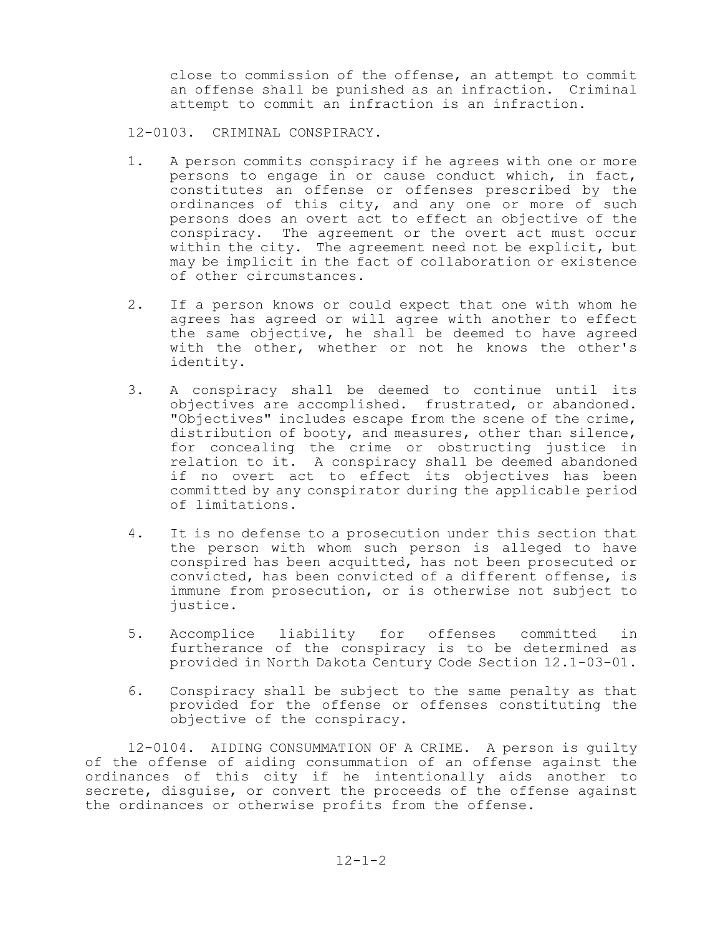close to commission of the offense, an attempt to commit an offense shall be punished as an infraction. Criminal attempt to commit an infraction is an infraction.

12-0103. CRIMINAL CONSPIRACY.

- 1. A person commits conspiracy if he agrees with one or more persons to engage in or cause conduct which, in fact, constitutes an offense or offenses prescribed by the ordinances of this city, and any one or more of such persons does an overt act to effect an objective of the conspiracy. The agreement or the overt act must occur within the city. The agreement need not be explicit, but may be implicit in the fact of collaboration or existence of other circumstances.
- 2. If a person knows or could expect that one with whom he agrees has agreed or will agree with another to effect the same objective, he shall be deemed to have agreed with the other, whether or not he knows the other's identity.
- 3. A conspiracy shall be deemed to continue until its objectives are accomplished. frustrated, or abandoned. "Objectives" includes escape from the scene of the crime, distribution of booty, and measures, other than silence, for concealing the crime or obstructing justice in relation to it. A conspiracy shall be deemed abandoned if no overt act to effect its objectives has been committed by any conspirator during the applicable period of limitations.
- 4. It is no defense to a prosecution under this section that the person with whom such person is alleged to have conspired has been acquitted, has not been prosecuted or convicted, has been convicted of a different offense, is immune from prosecution, or is otherwise not subject to justice.
- 5. Accomplice liability for offenses committed in furtherance of the conspiracy is to be determined as provided in North Dakota Century Code Section 12.1-03-01.
- 6. Conspiracy shall be subject to the same penalty as that provided for the offense or offenses constituting the objective of the conspiracy.

12-0104. AIDING CONSUMMATION OF A CRIME. A person is guilty of the offense of aiding consummation of an offense against the ordinances of this city if he intentionally aids another to secrete, disguise, or convert the proceeds of the offense against the ordinances or otherwise profits from the offense.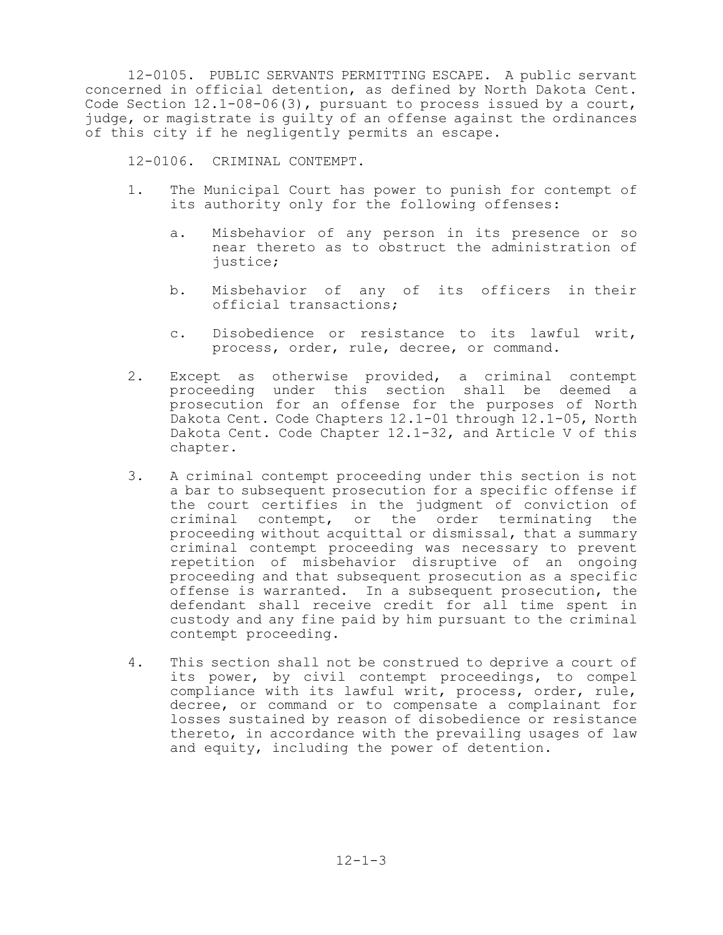12-0105. PUBLIC SERVANTS PERMITTING ESCAPE. A public servant concerned in official detention, as defined by North Dakota Cent. Code Section 12.1-08-06(3), pursuant to process issued by a court, judge, or magistrate is guilty of an offense against the ordinances of this city if he negligently permits an escape.

12-0106. CRIMINAL CONTEMPT.

- 1. The Municipal Court has power to punish for contempt of its authority only for the following offenses:
	- a. Misbehavior of any person in its presence or so near thereto as to obstruct the administration of justice;
	- b. Misbehavior of any of its officers in their official transactions;
	- c. Disobedience or resistance to its lawful writ, process, order, rule, decree, or command.
- 2. Except as otherwise provided, a criminal contempt proceeding under this section shall be deemed a prosecution for an offense for the purposes of North Dakota Cent. Code Chapters 12.1-01 through 12.1-05, North Dakota Cent. Code Chapter 12.1-32, and Article V of this chapter.
- 3. A criminal contempt proceeding under this section is not a bar to subsequent prosecution for a specific offense if the court certifies in the judgment of conviction of criminal contempt, or the order terminating the proceeding without acquittal or dismissal, that a summary criminal contempt proceeding was necessary to prevent repetition of misbehavior disruptive of an ongoing proceeding and that subsequent prosecution as a specific offense is warranted. In a subsequent prosecution, the defendant shall receive credit for all time spent in custody and any fine paid by him pursuant to the criminal contempt proceeding.
- 4. This section shall not be construed to deprive a court of its power, by civil contempt proceedings, to compel compliance with its lawful writ, process, order, rule, decree, or command or to compensate a complainant for losses sustained by reason of disobedience or resistance thereto, in accordance with the prevailing usages of law and equity, including the power of detention.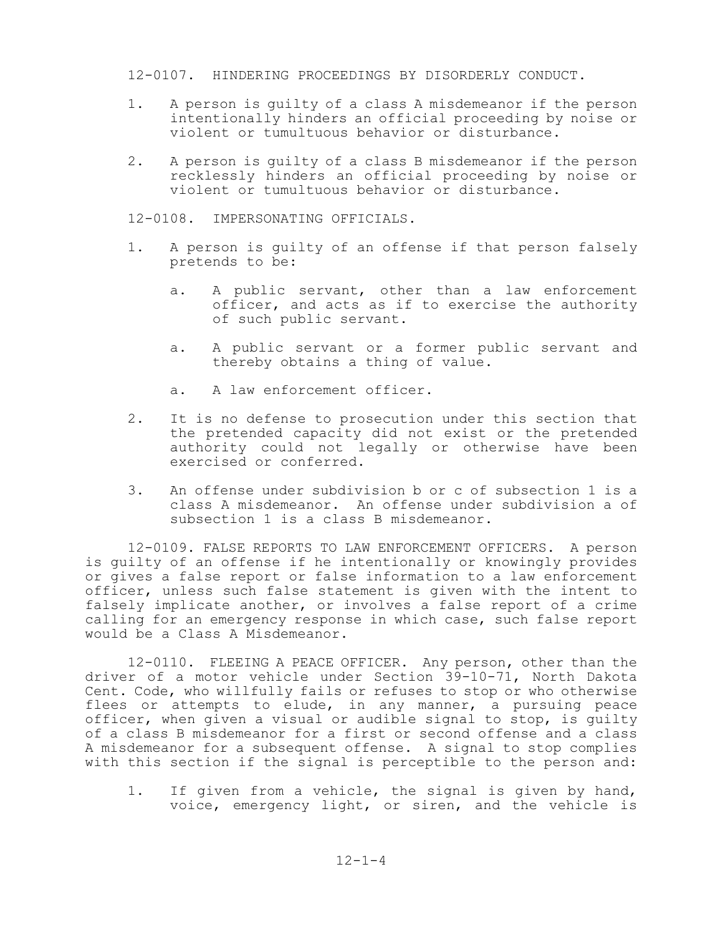#### 12-0107. HINDERING PROCEEDINGS BY DISORDERLY CONDUCT.

- 1. A person is guilty of a class A misdemeanor if the person intentionally hinders an official proceeding by noise or violent or tumultuous behavior or disturbance.
- 2. A person is guilty of a class B misdemeanor if the person recklessly hinders an official proceeding by noise or violent or tumultuous behavior or disturbance.

12-0108. IMPERSONATING OFFICIALS.

- 1. A person is guilty of an offense if that person falsely pretends to be:
	- a. A public servant, other than a law enforcement officer, and acts as if to exercise the authority of such public servant.
	- a. A public servant or a former public servant and thereby obtains a thing of value.
	- a. A law enforcement officer.
- 2. It is no defense to prosecution under this section that the pretended capacity did not exist or the pretended authority could not legally or otherwise have been exercised or conferred.
- 3. An offense under subdivision b or c of subsection 1 is a class A misdemeanor. An offense under subdivision a of subsection 1 is a class B misdemeanor.

12-0109. FALSE REPORTS TO LAW ENFORCEMENT OFFICERS. A person is guilty of an offense if he intentionally or knowingly provides or gives a false report or false information to a law enforcement officer, unless such false statement is given with the intent to falsely implicate another, or involves a false report of a crime calling for an emergency response in which case, such false report would be a Class A Misdemeanor.

12-0110. FLEEING A PEACE OFFICER. Any person, other than the driver of a motor vehicle under Section 39-10-71, North Dakota Cent. Code, who willfully fails or refuses to stop or who otherwise flees or attempts to elude, in any manner, a pursuing peace officer, when given a visual or audible signal to stop, is guilty of a class B misdemeanor for a first or second offense and a class A misdemeanor for a subsequent offense. A signal to stop complies with this section if the signal is perceptible to the person and:

1. If given from a vehicle, the signal is given by hand, voice, emergency light, or siren, and the vehicle is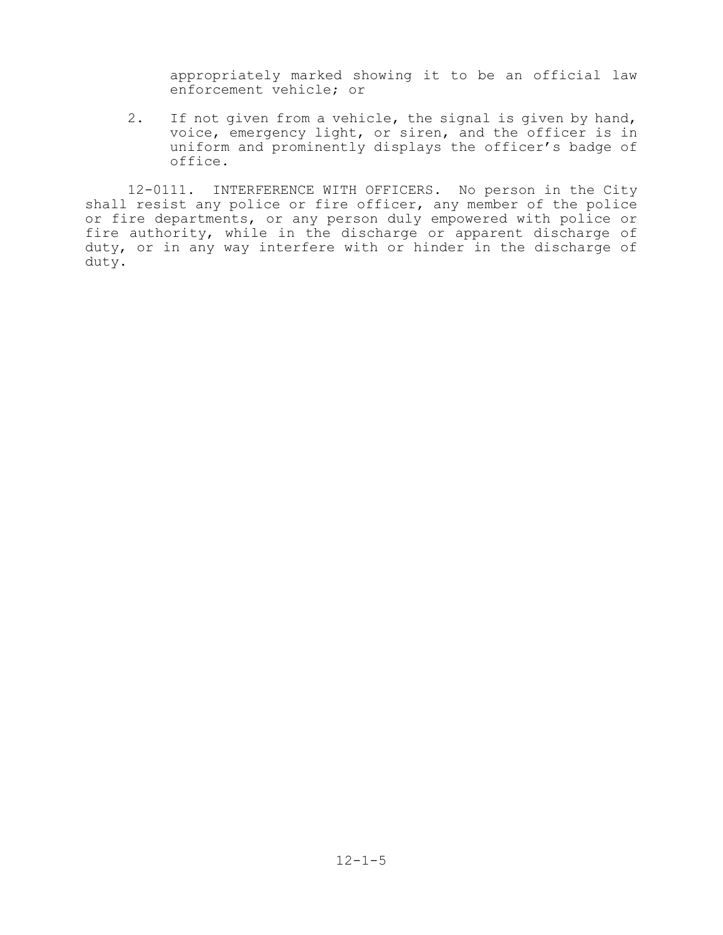appropriately marked showing it to be an official law enforcement vehicle; or

2. If not given from a vehicle, the signal is given by hand, voice, emergency light, or siren, and the officer is in uniform and prominently displays the officer's badge of office.

12-0111. INTERFERENCE WITH OFFICERS. No person in the City shall resist any police or fire officer, any member of the police or fire departments, or any person duly empowered with police or fire authority, while in the discharge or apparent discharge of duty, or in any way interfere with or hinder in the discharge of duty.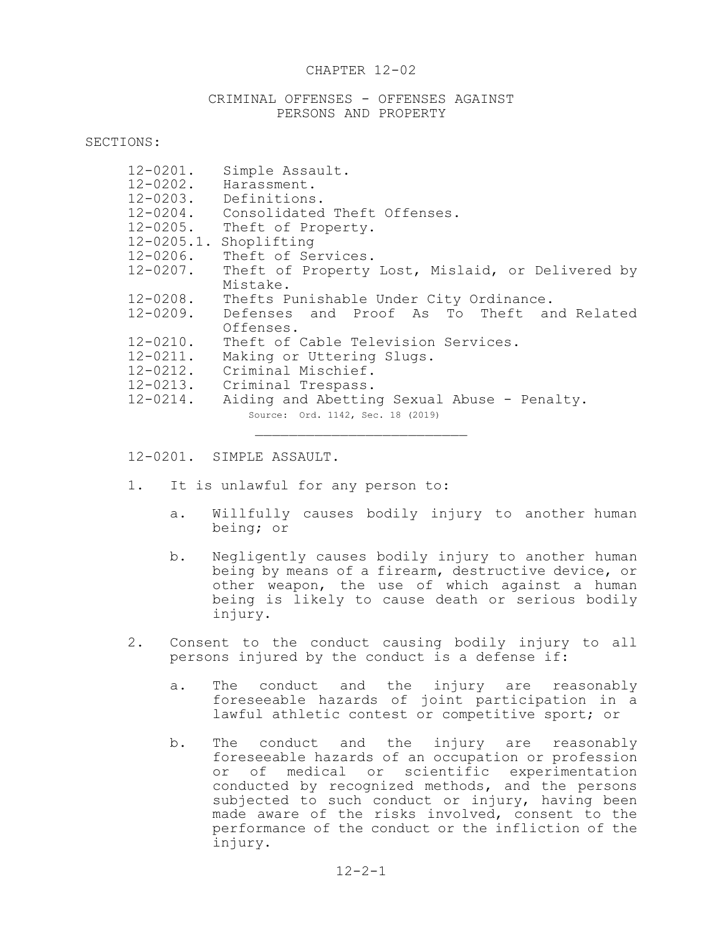#### CHAPTER 12-02

#### CRIMINAL OFFENSES - OFFENSES AGAINST PERSONS AND PROPERTY

SECTIONS:

| $12 - 0201$ .<br>$12 - 0202$ . | Simple Assault.<br>Harassment.<br>12-0203. Definitions. |  |  |  |  |
|--------------------------------|---------------------------------------------------------|--|--|--|--|
|                                | 12-0204. Consolidated Theft Offenses.                   |  |  |  |  |
|                                | 12-0205. Theft of Property.                             |  |  |  |  |
|                                | 12-0205.1. Shoplifting                                  |  |  |  |  |
| $12 - 0206$ .                  | Theft of Services.                                      |  |  |  |  |
| $12 - 0207$ .                  | Theft of Property Lost, Mislaid, or Delivered by        |  |  |  |  |
|                                | Mistake.                                                |  |  |  |  |
|                                | 12-0208. Thefts Punishable Under City Ordinance.        |  |  |  |  |
|                                | 12-0209. Defenses and Proof As To Theft and Related     |  |  |  |  |
|                                | Offenses.                                               |  |  |  |  |
| $12 - 0210$ .                  | Theft of Cable Television Services.                     |  |  |  |  |
| $12 - 0211$ .                  | Making or Uttering Slugs.                               |  |  |  |  |
|                                | 12-0212. Criminal Mischief.                             |  |  |  |  |
|                                | 12-0213. Criminal Trespass.                             |  |  |  |  |
| $12 - 0214$ .                  | Aiding and Abetting Sexual Abuse - Penalty.             |  |  |  |  |
|                                | Source: Ord. 1142, Sec. 18 (2019)                       |  |  |  |  |
|                                |                                                         |  |  |  |  |

12-0201. SIMPLE ASSAULT.

- 1. It is unlawful for any person to:
	- a. Willfully causes bodily injury to another human being; or
	- b. Negligently causes bodily injury to another human being by means of a firearm, destructive device, or other weapon, the use of which against a human being is likely to cause death or serious bodily injury.
- 2. Consent to the conduct causing bodily injury to all persons injured by the conduct is a defense if:
	- a. The conduct and the injury are reasonably foreseeable hazards of joint participation in a lawful athletic contest or competitive sport; or
	- b. The conduct and the injury are reasonably foreseeable hazards of an occupation or profession or of medical or scientific experimentation conducted by recognized methods, and the persons subjected to such conduct or injury, having been made aware of the risks involved, consent to the performance of the conduct or the infliction of the injury.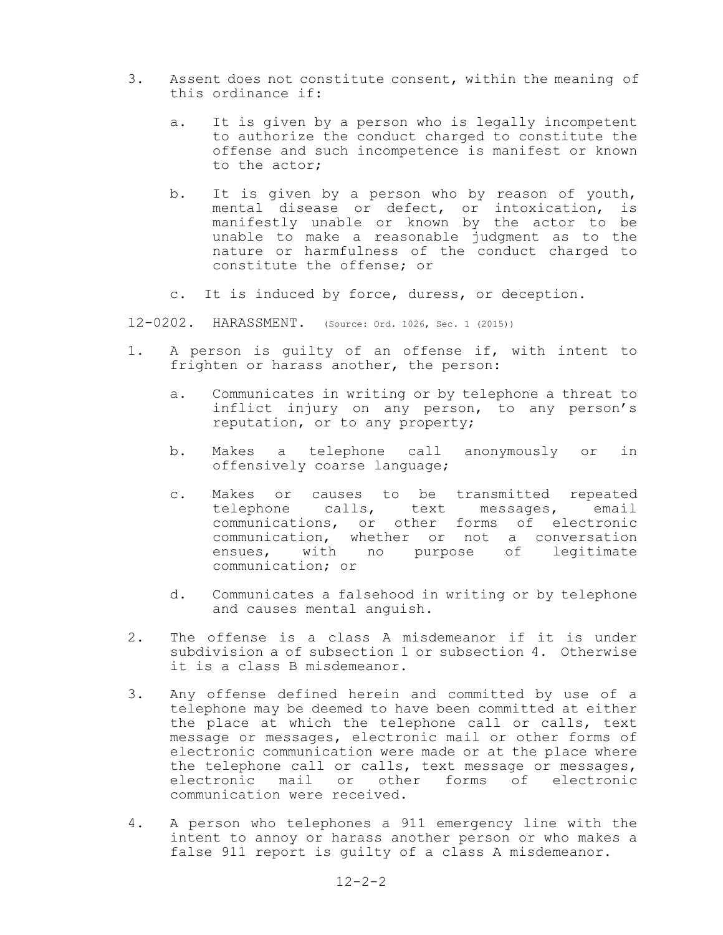- 3. Assent does not constitute consent, within the meaning of this ordinance if:
	- a. It is given by a person who is legally incompetent to authorize the conduct charged to constitute the offense and such incompetence is manifest or known to the actor;
	- b. It is given by a person who by reason of youth, mental disease or defect, or intoxication, is manifestly unable or known by the actor to be unable to make a reasonable judgment as to the nature or harmfulness of the conduct charged to constitute the offense; or
	- c. It is induced by force, duress, or deception.
- 12-0202. HARASSMENT. (Source: Ord. 1026, Sec. 1 (2015))
- 1. A person is guilty of an offense if, with intent to frighten or harass another, the person:
	- a. Communicates in writing or by telephone a threat to inflict injury on any person, to any person's reputation, or to any property;
	- b. Makes a telephone call anonymously or in offensively coarse language;
	- c. Makes or causes to be transmitted repeated telephone calls, text messages, email communications, or other forms of electronic communication, whether or not a conversation ensues, with no purpose of legitimate communication; or
	- d. Communicates a falsehood in writing or by telephone and causes mental anguish.
- 2. The offense is a class A misdemeanor if it is under subdivision a of subsection 1 or subsection 4. Otherwise it is a class B misdemeanor.
- 3. Any offense defined herein and committed by use of a telephone may be deemed to have been committed at either the place at which the telephone call or calls, text message or messages, electronic mail or other forms of electronic communication were made or at the place where the telephone call or calls, text message or messages, electronic mail or other forms of electronic communication were received.
- 4. A person who telephones a 911 emergency line with the intent to annoy or harass another person or who makes a false 911 report is guilty of a class A misdemeanor.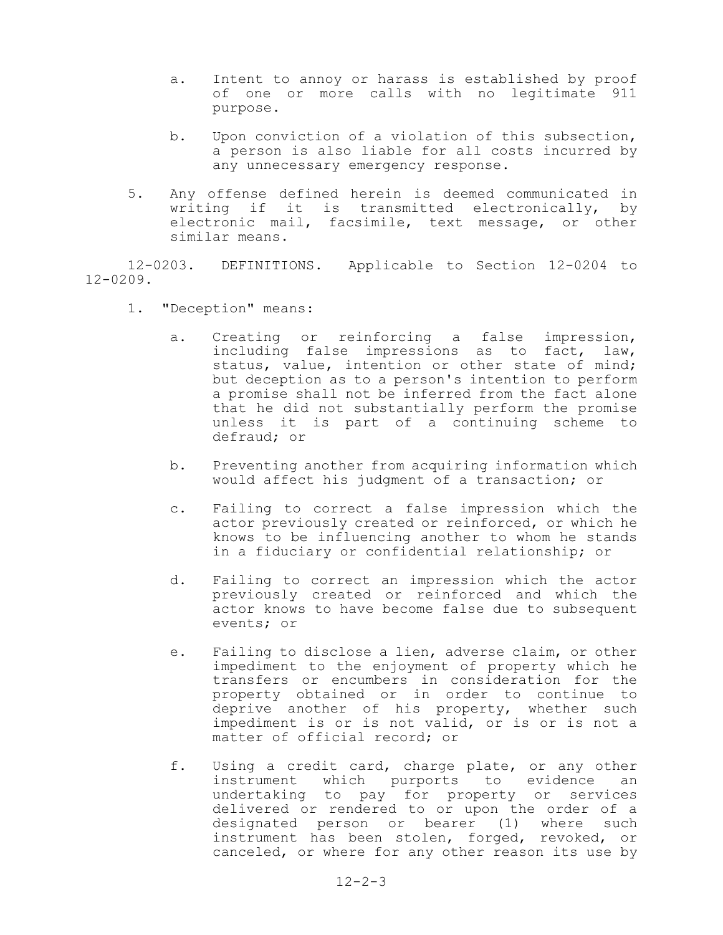- a. Intent to annoy or harass is established by proof of one or more calls with no legitimate 911 purpose.
- b. Upon conviction of a violation of this subsection, a person is also liable for all costs incurred by any unnecessary emergency response.
- 5. Any offense defined herein is deemed communicated in writing if it is transmitted electronically, by electronic mail, facsimile, text message, or other similar means.

12-0203. DEFINITIONS. Applicable to Section 12-0204 to 12-0209.

- 1. "Deception" means:
	- a. Creating or reinforcing a false impression, including false impressions as to fact, law, status, value, intention or other state of mind; but deception as to a person's intention to perform a promise shall not be inferred from the fact alone that he did not substantially perform the promise unless it is part of a continuing scheme to defraud; or
	- b. Preventing another from acquiring information which would affect his judgment of a transaction; or
	- c. Failing to correct a false impression which the actor previously created or reinforced, or which he knows to be influencing another to whom he stands in a fiduciary or confidential relationship; or
	- d. Failing to correct an impression which the actor previously created or reinforced and which the actor knows to have become false due to subsequent events; or
	- e. Failing to disclose a lien, adverse claim, or other impediment to the enjoyment of property which he transfers or encumbers in consideration for the property obtained or in order to continue to deprive another of his property, whether such impediment is or is not valid, or is or is not a matter of official record; or
	- f. Using a credit card, charge plate, or any other instrument which purports to evidence an undertaking to pay for property or services delivered or rendered to or upon the order of a designated person or bearer (1) where such instrument has been stolen, forged, revoked, or canceled, or where for any other reason its use by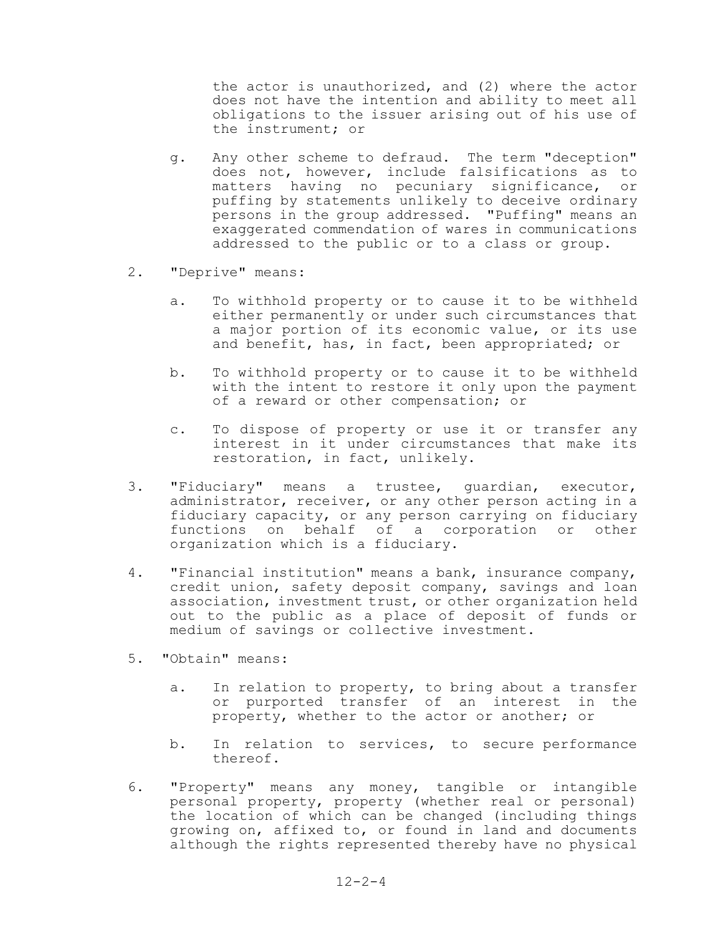the actor is unauthorized, and (2) where the actor does not have the intention and ability to meet all obligations to the issuer arising out of his use of the instrument; or

- g. Any other scheme to defraud. The term "deception" does not, however, include falsifications as to matters having no pecuniary significance, or puffing by statements unlikely to deceive ordinary persons in the group addressed. "Puffing" means an exaggerated commendation of wares in communications addressed to the public or to a class or group.
- 2. "Deprive" means:
	- a. To withhold property or to cause it to be withheld either permanently or under such circumstances that a major portion of its economic value, or its use and benefit, has, in fact, been appropriated; or
	- b. To withhold property or to cause it to be withheld with the intent to restore it only upon the payment of a reward or other compensation; or
	- c. To dispose of property or use it or transfer any interest in it under circumstances that make its restoration, in fact, unlikely.
- 3. "Fiduciary" means a trustee, guardian, executor, administrator, receiver, or any other person acting in a fiduciary capacity, or any person carrying on fiduciary functions on behalf of a corporation or other organization which is a fiduciary.
- 4. "Financial institution" means a bank, insurance company, credit union, safety deposit company, savings and loan association, investment trust, or other organization held out to the public as a place of deposit of funds or medium of savings or collective investment.
- 5. "Obtain" means:
	- a. In relation to property, to bring about a transfer or purported transfer of an interest in the property, whether to the actor or another; or
	- b. In relation to services, to secure performance thereof.
- 6. "Property" means any money, tangible or intangible personal property, property (whether real or personal) the location of which can be changed (including things growing on, affixed to, or found in land and documents although the rights represented thereby have no physical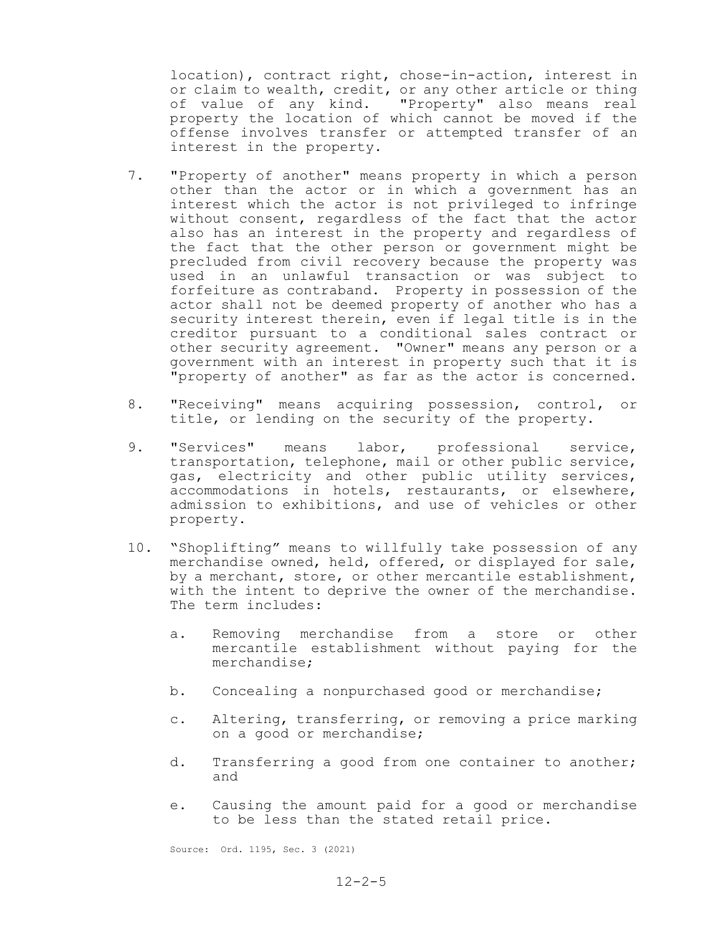location), contract right, chose-in-action, interest in or claim to wealth, credit, or any other article or thing<br>of value of any kind. "Property" also means real "Property" also means real property the location of which cannot be moved if the offense involves transfer or attempted transfer of an interest in the property.

- 7. "Property of another" means property in which a person other than the actor or in which a government has an interest which the actor is not privileged to infringe without consent, regardless of the fact that the actor also has an interest in the property and regardless of the fact that the other person or government might be precluded from civil recovery because the property was used in an unlawful transaction or was subject to forfeiture as contraband. Property in possession of the actor shall not be deemed property of another who has a security interest therein, even if legal title is in the creditor pursuant to a conditional sales contract or other security agreement. "Owner" means any person or a government with an interest in property such that it is "property of another" as far as the actor is concerned.
- 8. "Receiving" means acquiring possession, control, or title, or lending on the security of the property.
- 9. "Services" means labor, professional service, transportation, telephone, mail or other public service, gas, electricity and other public utility services, accommodations in hotels, restaurants, or elsewhere, admission to exhibitions, and use of vehicles or other property.
- 10. "Shoplifting" means to willfully take possession of any merchandise owned, held, offered, or displayed for sale, by a merchant, store, or other mercantile establishment, with the intent to deprive the owner of the merchandise. The term includes:
	- a. Removing merchandise from a store or other mercantile establishment without paying for the merchandise;
	- b. Concealing a nonpurchased good or merchandise;
	- c. Altering, transferring, or removing a price marking on a good or merchandise;
	- d. Transferring a good from one container to another; and
	- e. Causing the amount paid for a good or merchandise to be less than the stated retail price.

Source: Ord. 1195, Sec. 3 (2021)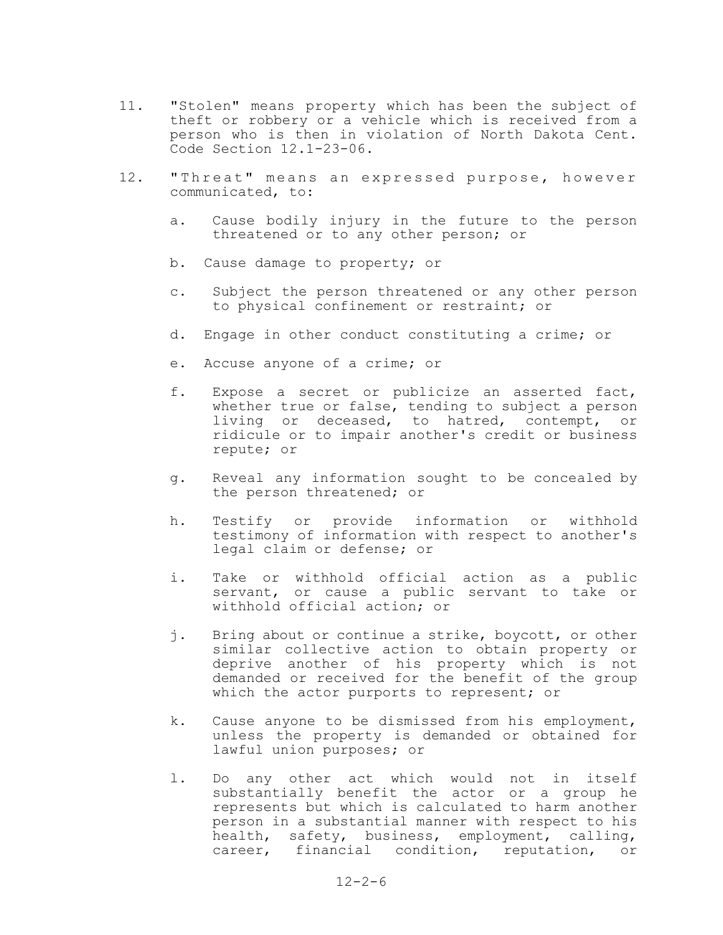- 11. "Stolen" means property which has been the subject of theft or robbery or a vehicle which is received from a person who is then in violation of North Dakota Cent. Code Section 12.1-23-06.
- 12. "Threat" means an expressed purpose, however communicated, to:
	- a. Cause bodily injury in the future to the person threatened or to any other person; or
	- b. Cause damage to property; or
	- c. Subject the person threatened or any other person to physical confinement or restraint; or
	- d. Engage in other conduct constituting a crime; or
	- e. Accuse anyone of a crime; or
	- f. Expose a secret or publicize an asserted fact, whether true or false, tending to subject a person living or deceased, to hatred, contempt, or ridicule or to impair another's credit or business repute; or
	- g. Reveal any information sought to be concealed by the person threatened; or
	- h. Testify or provide information or withhold testimony of information with respect to another's legal claim or defense; or
	- i. Take or withhold official action as a public servant, or cause a public servant to take or withhold official action; or
	- j. Bring about or continue a strike, boycott, or other similar collective action to obtain property or deprive another of his property which is not demanded or received for the benefit of the group which the actor purports to represent; or
	- k. Cause anyone to be dismissed from his employment, unless the property is demanded or obtained for lawful union purposes; or
	- l. Do any other act which would not in itself substantially benefit the actor or a group he represents but which is calculated to harm another person in a substantial manner with respect to his health, safety, business, employment, calling, career, financial condition, reputation, or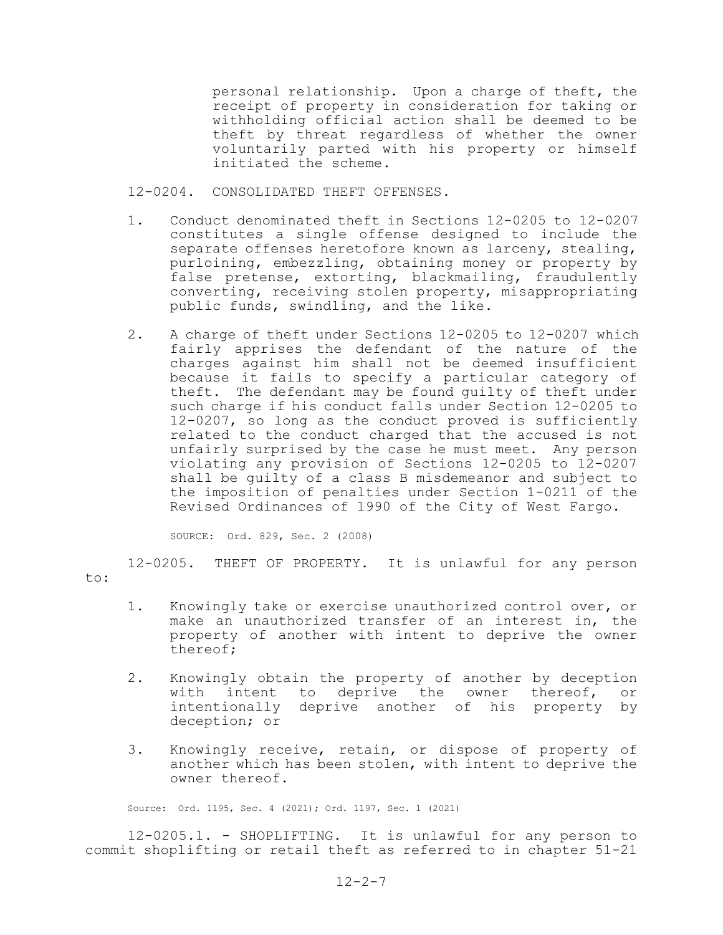personal relationship. Upon a charge of theft, the receipt of property in consideration for taking or withholding official action shall be deemed to be theft by threat regardless of whether the owner voluntarily parted with his property or himself initiated the scheme.

- 12-0204. CONSOLIDATED THEFT OFFENSES.
- 1. Conduct denominated theft in Sections 12-0205 to 12-0207 constitutes a single offense designed to include the separate offenses heretofore known as larceny, stealing, purloining, embezzling, obtaining money or property by false pretense, extorting, blackmailing, fraudulently converting, receiving stolen property, misappropriating public funds, swindling, and the like.
- 2. A charge of theft under Sections 12-0205 to 12-0207 which fairly apprises the defendant of the nature of the charges against him shall not be deemed insufficient because it fails to specify a particular category of theft. The defendant may be found guilty of theft under such charge if his conduct falls under Section 12-0205 to 12-0207, so long as the conduct proved is sufficiently related to the conduct charged that the accused is not unfairly surprised by the case he must meet. Any person violating any provision of Sections 12-0205 to 12-0207 shall be guilty of a class B misdemeanor and subject to the imposition of penalties under Section 1-0211 of the Revised Ordinances of 1990 of the City of West Fargo.

SOURCE: Ord. 829, Sec. 2 (2008)

12-0205. THEFT OF PROPERTY. It is unlawful for any person to:

- 1. Knowingly take or exercise unauthorized control over, or make an unauthorized transfer of an interest in, the property of another with intent to deprive the owner thereof;
- 2. Knowingly obtain the property of another by deception with intent to deprive the owner thereof, or intentionally deprive another of his property by deception; or
- 3. Knowingly receive, retain, or dispose of property of another which has been stolen, with intent to deprive the owner thereof.

Source: Ord. 1195, Sec. 4 (2021); Ord. 1197, Sec. 1 (2021)

12-0205.1. - SHOPLIFTING. It is unlawful for any person to commit shoplifting or retail theft as referred to in chapter 51-21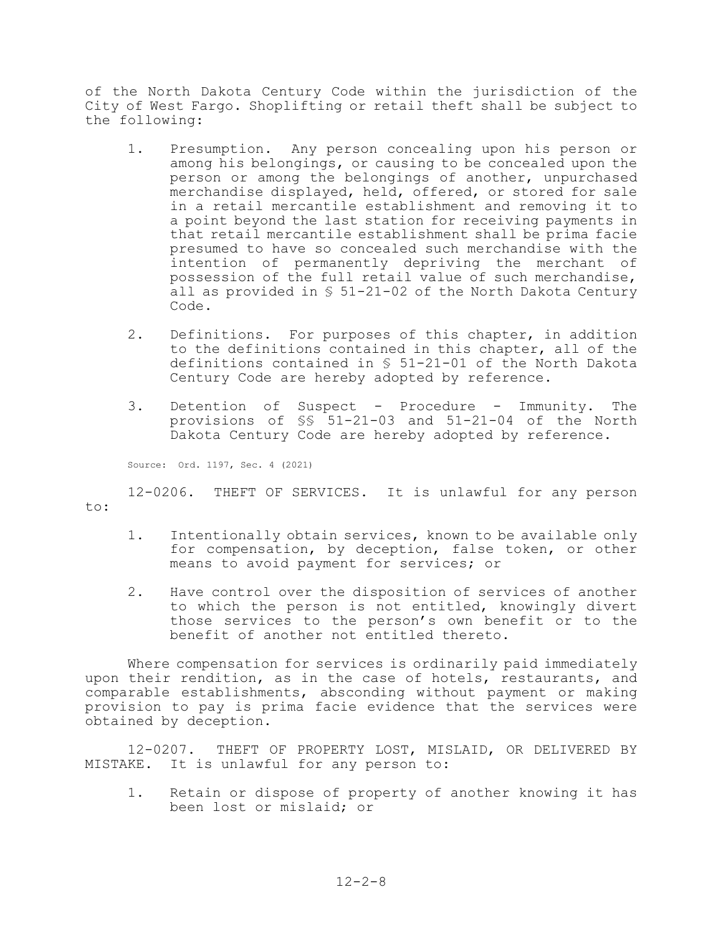of the North Dakota Century Code within the jurisdiction of the City of West Fargo. Shoplifting or retail theft shall be subject to the following:

- 1. Presumption. Any person concealing upon his person or among his belongings, or causing to be concealed upon the person or among the belongings of another, unpurchased merchandise displayed, held, offered, or stored for sale in a retail mercantile establishment and removing it to a point beyond the last station for receiving payments in that retail mercantile establishment shall be prima facie presumed to have so concealed such merchandise with the intention of permanently depriving the merchant of possession of the full retail value of such merchandise, all as provided in § 51-21-02 of the North Dakota Century Code.
- 2. Definitions. For purposes of this chapter, in addition to the definitions contained in this chapter, all of the definitions contained in § 51-21-01 of the North Dakota Century Code are hereby adopted by reference.
- 3. Detention of Suspect Procedure Immunity. The provisions of §§ 51-21-03 and 51-21-04 of the North Dakota Century Code are hereby adopted by reference.

Source: Ord. 1197, Sec. 4 (2021)

12-0206. THEFT OF SERVICES. It is unlawful for any person to:

- 1. Intentionally obtain services, known to be available only for compensation, by deception, false token, or other means to avoid payment for services; or
- 2. Have control over the disposition of services of another to which the person is not entitled, knowingly divert those services to the person's own benefit or to the benefit of another not entitled thereto.

Where compensation for services is ordinarily paid immediately upon their rendition, as in the case of hotels, restaurants, and comparable establishments, absconding without payment or making provision to pay is prima facie evidence that the services were obtained by deception.

12-0207. THEFT OF PROPERTY LOST, MISLAID, OR DELIVERED BY MISTAKE. It is unlawful for any person to:

1. Retain or dispose of property of another knowing it has been lost or mislaid; or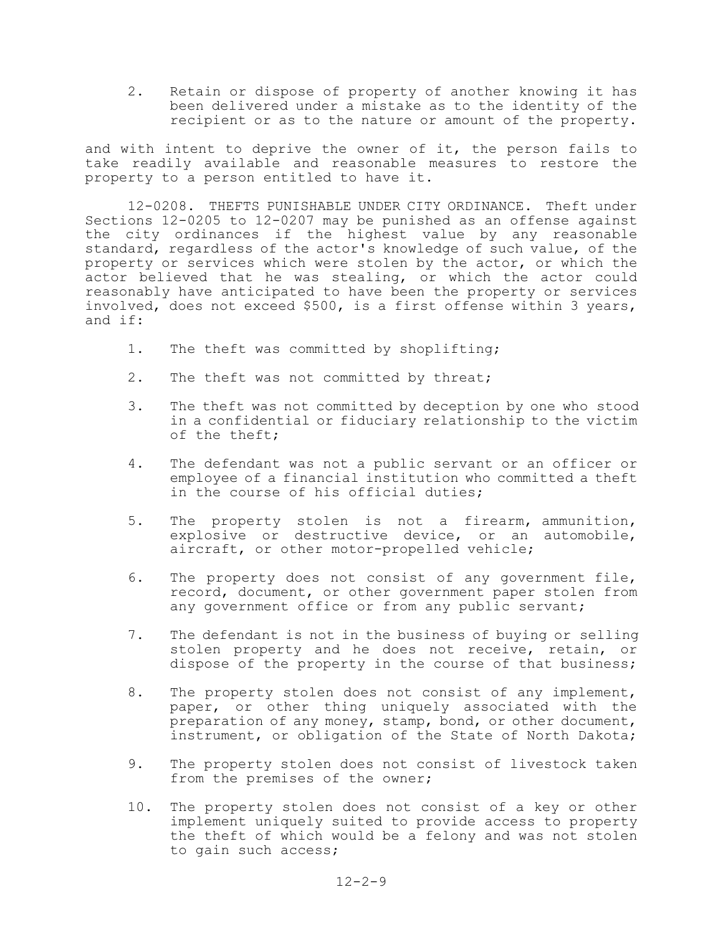2. Retain or dispose of property of another knowing it has been delivered under a mistake as to the identity of the recipient or as to the nature or amount of the property.

and with intent to deprive the owner of it, the person fails to take readily available and reasonable measures to restore the property to a person entitled to have it.

12-0208. THEFTS PUNISHABLE UNDER CITY ORDINANCE. Theft under Sections 12-0205 to 12-0207 may be punished as an offense against the city ordinances if the highest value by any reasonable standard, regardless of the actor's knowledge of such value, of the property or services which were stolen by the actor, or which the actor believed that he was stealing, or which the actor could reasonably have anticipated to have been the property or services involved, does not exceed \$500, is a first offense within 3 years, and if:

- 1. The theft was committed by shoplifting;
- 2. The theft was not committed by threat;
- 3. The theft was not committed by deception by one who stood in a confidential or fiduciary relationship to the victim of the theft;
- 4. The defendant was not a public servant or an officer or employee of a financial institution who committed a theft in the course of his official duties;
- 5. The property stolen is not a firearm, ammunition, explosive or destructive device, or an automobile, aircraft, or other motor-propelled vehicle;
- 6. The property does not consist of any government file, record, document, or other government paper stolen from any government office or from any public servant;
- 7. The defendant is not in the business of buying or selling stolen property and he does not receive, retain, or dispose of the property in the course of that business;
- 8. The property stolen does not consist of any implement, paper, or other thing uniquely associated with the preparation of any money, stamp, bond, or other document, instrument, or obligation of the State of North Dakota;
- 9. The property stolen does not consist of livestock taken from the premises of the owner;
- 10. The property stolen does not consist of a key or other implement uniquely suited to provide access to property the theft of which would be a felony and was not stolen to gain such access;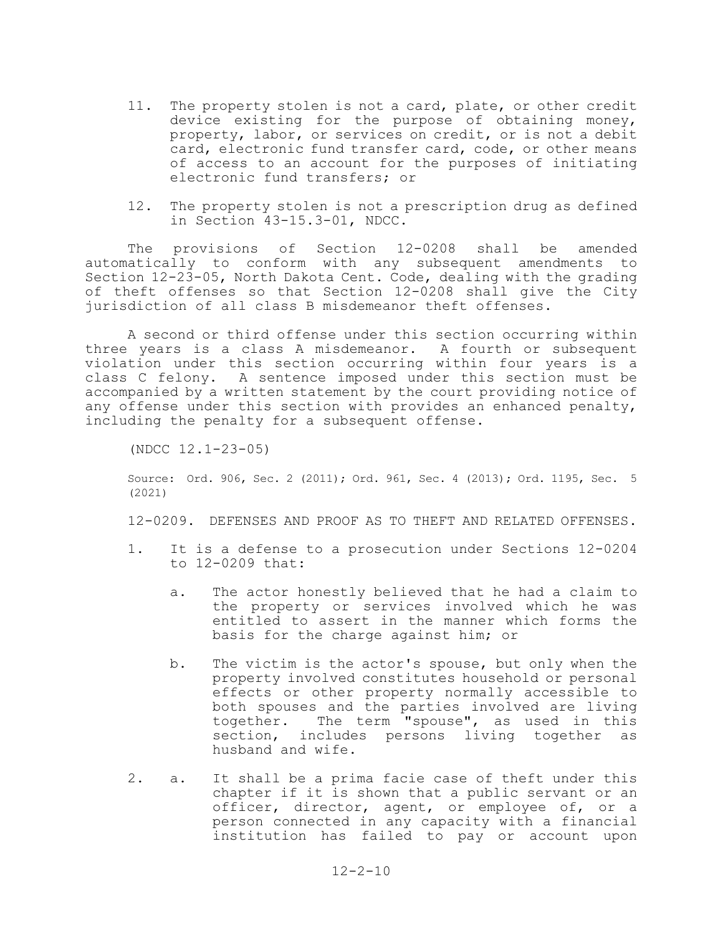- 11. The property stolen is not a card, plate, or other credit device existing for the purpose of obtaining money, property, labor, or services on credit, or is not a debit card, electronic fund transfer card, code, or other means of access to an account for the purposes of initiating electronic fund transfers; or
- 12. The property stolen is not a prescription drug as defined in Section 43-15.3-01, NDCC.

The provisions of Section 12-0208 shall be amended automatically to conform with any subsequent amendments to Section 12-23-05, North Dakota Cent. Code, dealing with the grading of theft offenses so that Section 12-0208 shall give the City jurisdiction of all class B misdemeanor theft offenses.

A second or third offense under this section occurring within three years is a class A misdemeanor. A fourth or subsequent violation under this section occurring within four years is a class C felony. A sentence imposed under this section must be accompanied by a written statement by the court providing notice of any offense under this section with provides an enhanced penalty, including the penalty for a subsequent offense.

(NDCC 12.1-23-05)

Source: Ord. 906, Sec. 2 (2011); Ord. 961, Sec. 4 (2013); Ord. 1195, Sec. 5 (2021)

12-0209. DEFENSES AND PROOF AS TO THEFT AND RELATED OFFENSES.

- 1. It is a defense to a prosecution under Sections 12-0204 to 12-0209 that:
	- a. The actor honestly believed that he had a claim to the property or services involved which he was entitled to assert in the manner which forms the basis for the charge against him; or
	- b. The victim is the actor's spouse, but only when the property involved constitutes household or personal effects or other property normally accessible to both spouses and the parties involved are living<br>together. The term "spouse", as used in this The term "spouse", as used in this section, includes persons living together as husband and wife.
- 2. a. It shall be a prima facie case of theft under this chapter if it is shown that a public servant or an officer, director, agent, or employee of, or a person connected in any capacity with a financial institution has failed to pay or account upon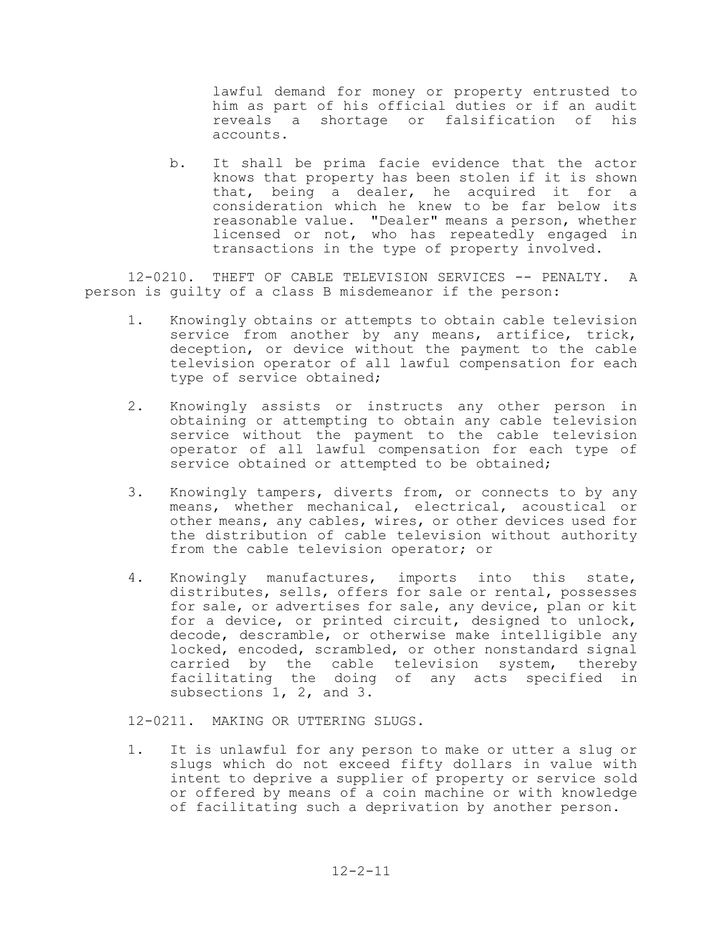lawful demand for money or property entrusted to him as part of his official duties or if an audit reveals a shortage or falsification of his accounts.

b. It shall be prima facie evidence that the actor knows that property has been stolen if it is shown that, being a dealer, he acquired it for a consideration which he knew to be far below its reasonable value. "Dealer" means a person, whether licensed or not, who has repeatedly engaged in transactions in the type of property involved.

12-0210. THEFT OF CABLE TELEVISION SERVICES -- PENALTY. A person is guilty of a class B misdemeanor if the person:

- 1. Knowingly obtains or attempts to obtain cable television service from another by any means, artifice, trick, deception, or device without the payment to the cable television operator of all lawful compensation for each type of service obtained;
- 2. Knowingly assists or instructs any other person in obtaining or attempting to obtain any cable television service without the payment to the cable television operator of all lawful compensation for each type of service obtained or attempted to be obtained;
- 3. Knowingly tampers, diverts from, or connects to by any means, whether mechanical, electrical, acoustical or other means, any cables, wires, or other devices used for the distribution of cable television without authority from the cable television operator; or
- 4. Knowingly manufactures, imports into this state, distributes, sells, offers for sale or rental, possesses for sale, or advertises for sale, any device, plan or kit for a device, or printed circuit, designed to unlock, decode, descramble, or otherwise make intelligible any locked, encoded, scrambled, or other nonstandard signal carried by the cable television system, thereby facilitating the doing of any acts specified in subsections 1, 2, and 3.

12-0211. MAKING OR UTTERING SLUGS.

1. It is unlawful for any person to make or utter a slug or slugs which do not exceed fifty dollars in value with intent to deprive a supplier of property or service sold or offered by means of a coin machine or with knowledge of facilitating such a deprivation by another person.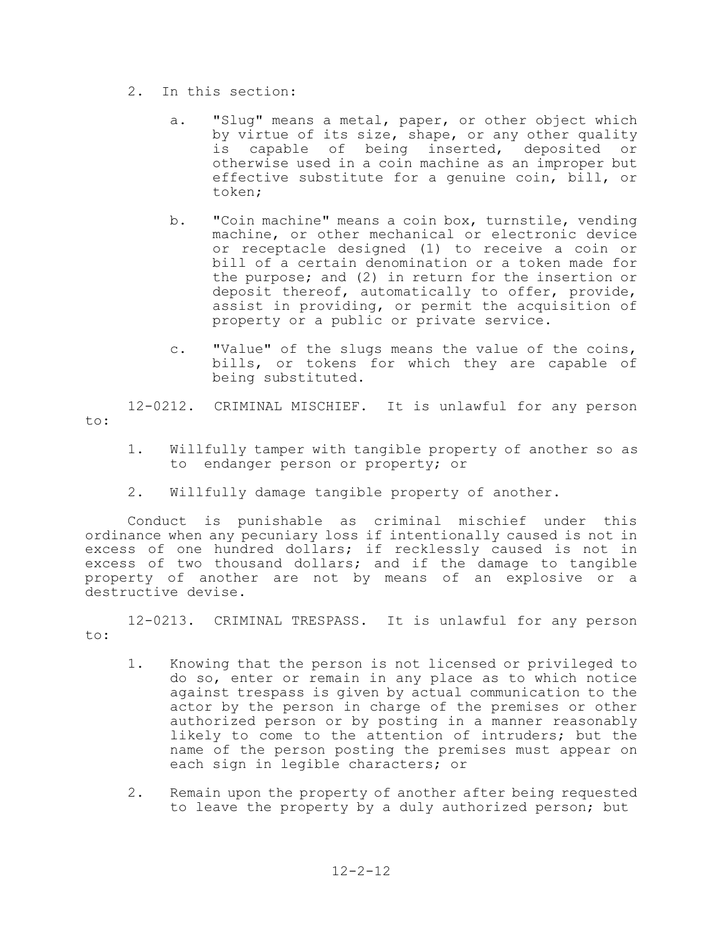- 2. In this section:
	- a. "Slug" means a metal, paper, or other object which by virtue of its size, shape, or any other quality is capable of being inserted, deposited or otherwise used in a coin machine as an improper but effective substitute for a genuine coin, bill, or token;
	- b. "Coin machine" means a coin box, turnstile, vending machine, or other mechanical or electronic device or receptacle designed (1) to receive a coin or bill of a certain denomination or a token made for the purpose; and (2) in return for the insertion or deposit thereof, automatically to offer, provide, assist in providing, or permit the acquisition of property or a public or private service.
	- c. "Value" of the slugs means the value of the coins, bills, or tokens for which they are capable of being substituted.

12-0212. CRIMINAL MISCHIEF. It is unlawful for any person to:

- 1. Willfully tamper with tangible property of another so as to endanger person or property; or
- 2. Willfully damage tangible property of another.

Conduct is punishable as criminal mischief under this ordinance when any pecuniary loss if intentionally caused is not in excess of one hundred dollars; if recklessly caused is not in excess of two thousand dollars; and if the damage to tangible property of another are not by means of an explosive or a destructive devise.

12-0213. CRIMINAL TRESPASS. It is unlawful for any person to:

- 1. Knowing that the person is not licensed or privileged to do so, enter or remain in any place as to which notice against trespass is given by actual communication to the actor by the person in charge of the premises or other authorized person or by posting in a manner reasonably likely to come to the attention of intruders; but the name of the person posting the premises must appear on each sign in legible characters; or
- 2. Remain upon the property of another after being requested to leave the property by a duly authorized person; but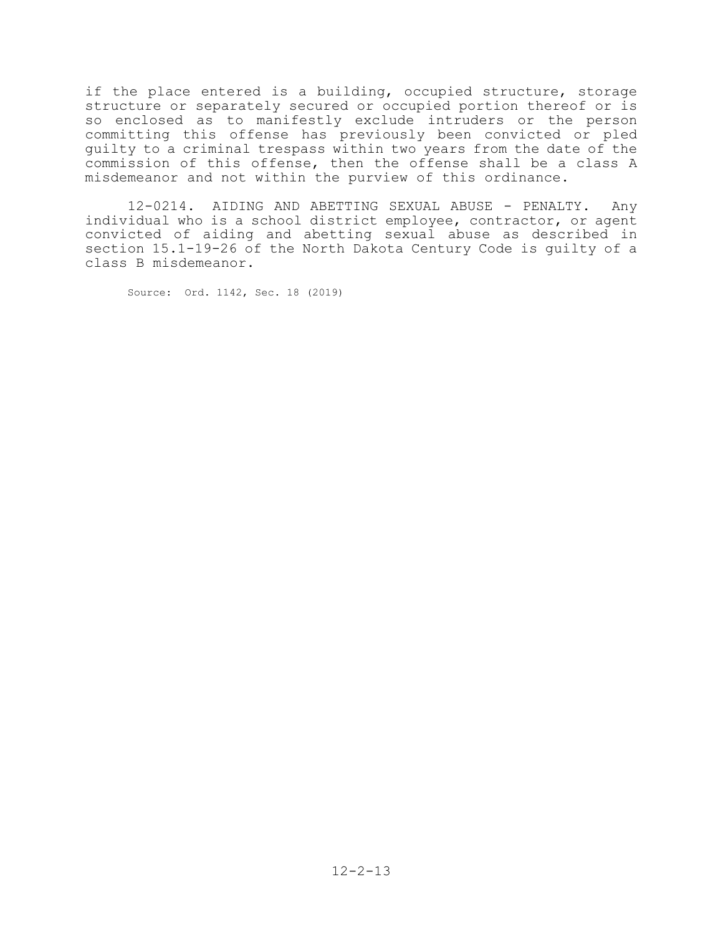if the place entered is a building, occupied structure, storage structure or separately secured or occupied portion thereof or is so enclosed as to manifestly exclude intruders or the person committing this offense has previously been convicted or pled guilty to a criminal trespass within two years from the date of the commission of this offense, then the offense shall be a class A misdemeanor and not within the purview of this ordinance.

12-0214. AIDING AND ABETTING SEXUAL ABUSE - PENALTY. Any individual who is a school district employee, contractor, or agent convicted of aiding and abetting sexual abuse as described in section 15.1-19-26 of the North Dakota Century Code is guilty of a class B misdemeanor.

Source: Ord. 1142, Sec. 18 (2019)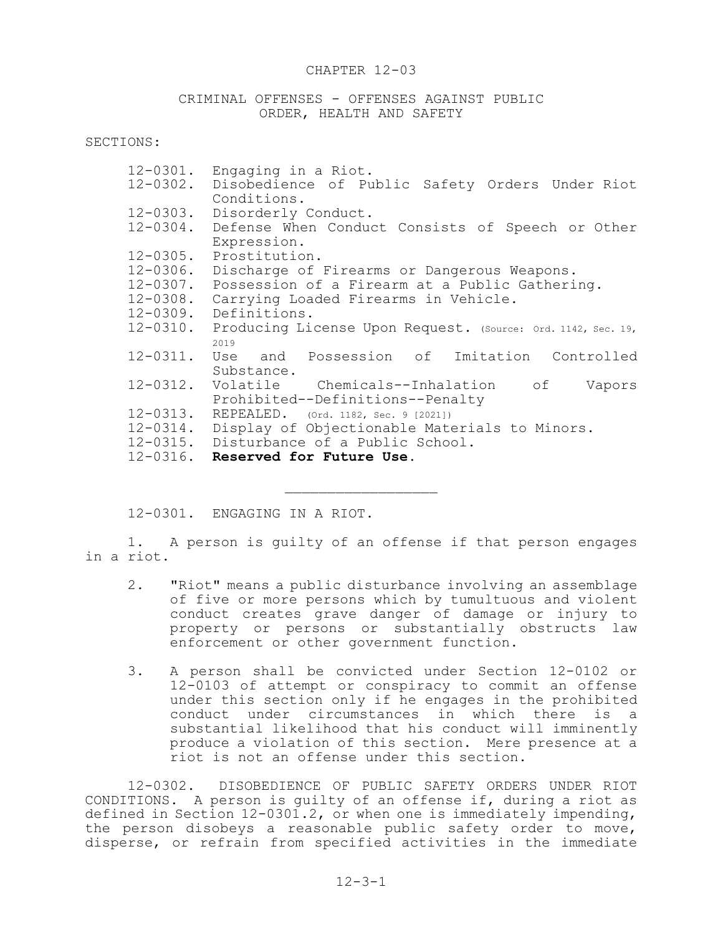#### CHAPTER 12-03

CRIMINAL OFFENSES - OFFENSES AGAINST PUBLIC ORDER, HEALTH AND SAFETY

SECTIONS:

| $12 - 0301$ . | Engaging in a Riot.                                          |
|---------------|--------------------------------------------------------------|
| $12 - 0302$ . | Disobedience of Public Safety Orders Under Riot              |
|               | Conditions.                                                  |
| $12 - 0303$ . | Disorderly Conduct.                                          |
| 12-0304.      | Defense When Conduct Consists of Speech or Other             |
|               | Expression.                                                  |
| $12 - 0305$ . | Prostitution.                                                |
| 12-0306.      | Discharge of Firearms or Dangerous Weapons.                  |
| $12 - 0307$ . | Possession of a Firearm at a Public Gathering.               |
| $12 - 0308$ . | Carrying Loaded Firearms in Vehicle.                         |
| 12-0309.      | Definitions.                                                 |
| 12-0310.      | Producing License Upon Request. (Source: Ord. 1142, Sec. 19, |
|               | 2019                                                         |
| $12 - 0311$ . | Use and Possession of Imitation Controlled                   |
|               | Substance.                                                   |
| 12-0312.      | Volatile Chemicals--Inhalation of<br>Vapors                  |
|               | Prohibited--Definitions--Penalty                             |
| $12 - 0313$ . | REPEALED. (Ord. 1182, Sec. 9 [2021])                         |
| 12-0314.      | Display of Objectionable Materials to Minors.                |
|               | 12-0315. Disturbance of a Public School.                     |
|               | 12-0316. Reserved for Future Use.                            |
|               |                                                              |
|               |                                                              |

12-0301. ENGAGING IN A RIOT.

1. A person is guilty of an offense if that person engages in a riot.

- 2. "Riot" means a public disturbance involving an assemblage of five or more persons which by tumultuous and violent conduct creates grave danger of damage or injury to property or persons or substantially obstructs law enforcement or other government function.
- 3. A person shall be convicted under Section 12-0102 or 12-0103 of attempt or conspiracy to commit an offense under this section only if he engages in the prohibited conduct under circumstances in which there is a substantial likelihood that his conduct will imminently produce a violation of this section. Mere presence at a riot is not an offense under this section.

12-0302. DISOBEDIENCE OF PUBLIC SAFETY ORDERS UNDER RIOT CONDITIONS. A person is guilty of an offense if, during a riot as defined in Section 12-0301.2, or when one is immediately impending, the person disobeys a reasonable public safety order to move, disperse, or refrain from specified activities in the immediate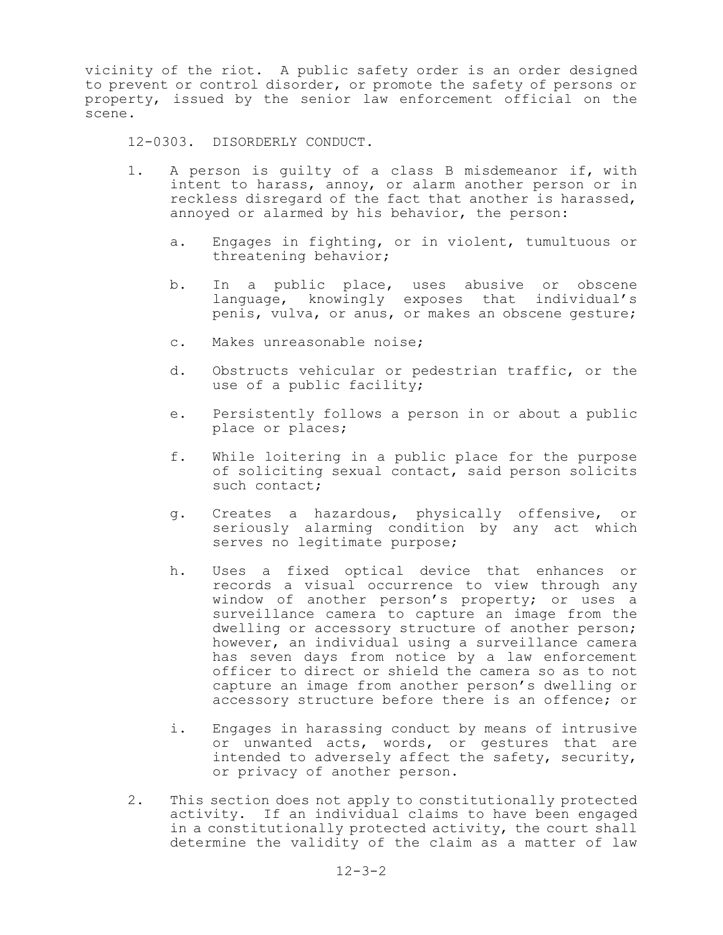vicinity of the riot. A public safety order is an order designed to prevent or control disorder, or promote the safety of persons or property, issued by the senior law enforcement official on the scene.

12-0303. DISORDERLY CONDUCT.

- 1. A person is guilty of a class B misdemeanor if, with intent to harass, annoy, or alarm another person or in reckless disregard of the fact that another is harassed, annoyed or alarmed by his behavior, the person:
	- a. Engages in fighting, or in violent, tumultuous or threatening behavior;
	- b. In a public place, uses abusive or obscene language, knowingly exposes that individual's penis, vulva, or anus, or makes an obscene gesture;
	- c. Makes unreasonable noise;
	- d. Obstructs vehicular or pedestrian traffic, or the use of a public facility;
	- e. Persistently follows a person in or about a public place or places;
	- f. While loitering in a public place for the purpose of soliciting sexual contact, said person solicits such contact;
	- g. Creates a hazardous, physically offensive, or seriously alarming condition by any act which serves no legitimate purpose;
	- h. Uses a fixed optical device that enhances or records a visual occurrence to view through any window of another person's property; or uses a surveillance camera to capture an image from the dwelling or accessory structure of another person; however, an individual using a surveillance camera has seven days from notice by a law enforcement officer to direct or shield the camera so as to not capture an image from another person's dwelling or accessory structure before there is an offence; or
	- i. Engages in harassing conduct by means of intrusive or unwanted acts, words, or gestures that are intended to adversely affect the safety, security, or privacy of another person.
- 2. This section does not apply to constitutionally protected activity. If an individual claims to have been engaged in a constitutionally protected activity, the court shall determine the validity of the claim as a matter of law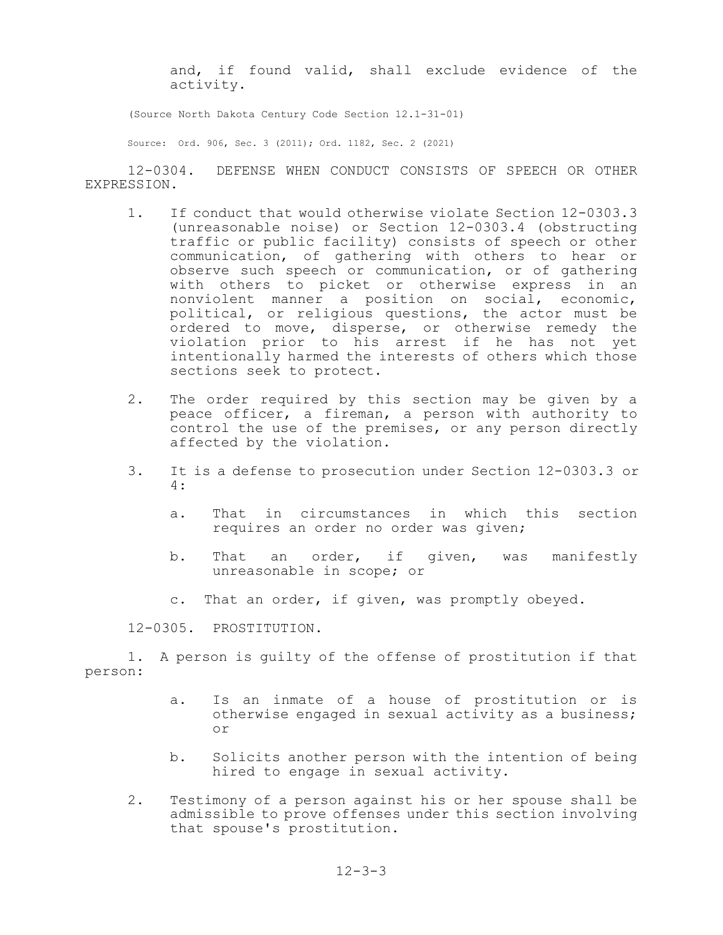and, if found valid, shall exclude evidence of the activity.

(Source North Dakota Century Code Section 12.1-31-01)

Source: Ord. 906, Sec. 3 (2011); Ord. 1182, Sec. 2 (2021)

12-0304. DEFENSE WHEN CONDUCT CONSISTS OF SPEECH OR OTHER EXPRESSION.

- 1. If conduct that would otherwise violate Section 12-0303.3 (unreasonable noise) or Section 12-0303.4 (obstructing traffic or public facility) consists of speech or other communication, of gathering with others to hear or observe such speech or communication, or of gathering with others to picket or otherwise express in an nonviolent manner a position on social, economic, political, or religious questions, the actor must be ordered to move, disperse, or otherwise remedy the violation prior to his arrest if he has not yet intentionally harmed the interests of others which those sections seek to protect.
- 2. The order required by this section may be given by a peace officer, a fireman, a person with authority to control the use of the premises, or any person directly affected by the violation.
- 3. It is a defense to prosecution under Section 12-0303.3 or 4:
	- a. That in circumstances in which this section requires an order no order was given;
	- b. That an order, if given, was manifestly unreasonable in scope; or
	- c. That an order, if given, was promptly obeyed.

12-0305. PROSTITUTION.

1. A person is guilty of the offense of prostitution if that person:

- a. Is an inmate of a house of prostitution or is otherwise engaged in sexual activity as a business; or
- b. Solicits another person with the intention of being hired to engage in sexual activity.
- 2. Testimony of a person against his or her spouse shall be admissible to prove offenses under this section involving that spouse's prostitution.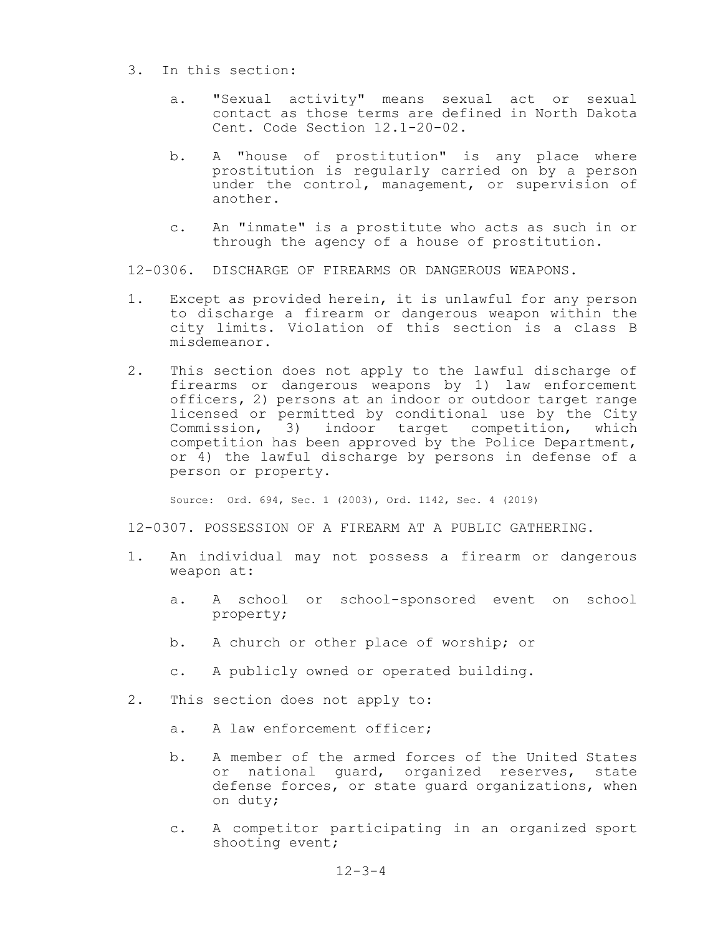- 3. In this section:
	- a. "Sexual activity" means sexual act or sexual contact as those terms are defined in North Dakota Cent. Code Section 12.1-20-02.
	- b. A "house of prostitution" is any place where prostitution is regularly carried on by a person under the control, management, or supervision of another.
	- c. An "inmate" is a prostitute who acts as such in or through the agency of a house of prostitution.

12-0306. DISCHARGE OF FIREARMS OR DANGEROUS WEAPONS.

- 1. Except as provided herein, it is unlawful for any person to discharge a firearm or dangerous weapon within the city limits. Violation of this section is a class B misdemeanor.
- 2. This section does not apply to the lawful discharge of firearms or dangerous weapons by 1) law enforcement officers, 2) persons at an indoor or outdoor target range licensed or permitted by conditional use by the City Commission, 3) indoor target competition, which competition has been approved by the Police Department, or 4) the lawful discharge by persons in defense of a person or property.

Source: Ord. 694, Sec. 1 (2003), Ord. 1142, Sec. 4 (2019)

12-0307. POSSESSION OF A FIREARM AT A PUBLIC GATHERING.

- 1. An individual may not possess a firearm or dangerous weapon at:
	- a. A school or school-sponsored event on school property;
	- b. A church or other place of worship; or
	- c. A publicly owned or operated building.
- 2. This section does not apply to:
	- a. A law enforcement officer;
	- b. A member of the armed forces of the United States or national guard, organized reserves, state defense forces, or state guard organizations, when on duty;
	- c. A competitor participating in an organized sport shooting event;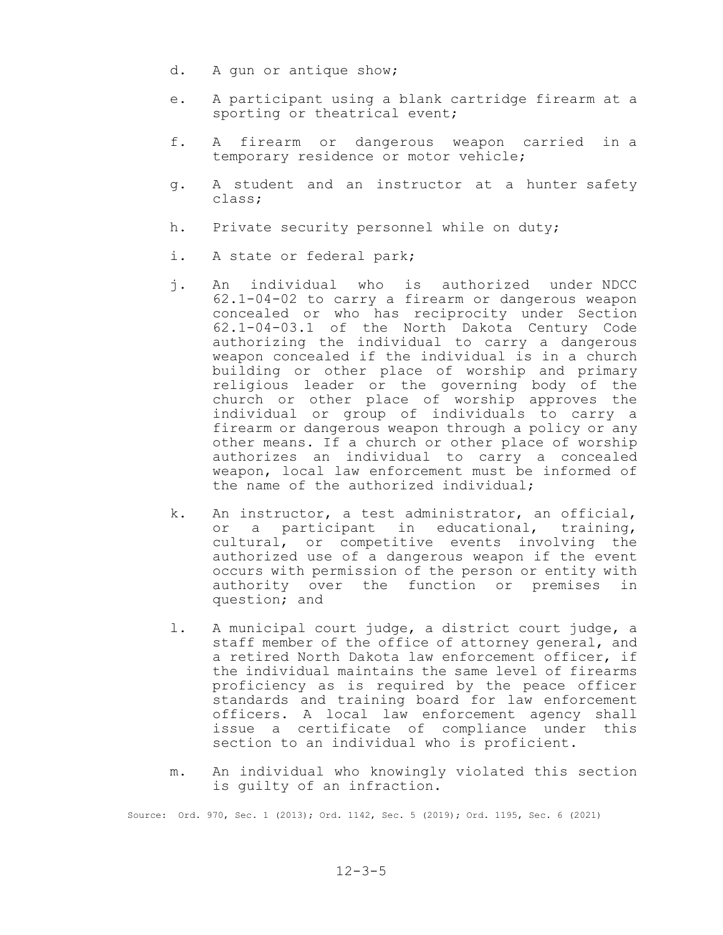- d. A gun or antique show;
- e. A participant using a blank cartridge firearm at a sporting or theatrical event;
- f. A firearm or dangerous weapon carried in a temporary residence or motor vehicle;
- g. A student and an instructor at a hunter safety class;
- h. Private security personnel while on duty;
- i. A state or federal park;
- j. An individual who is authorized under NDCC 62.1-04-02 to carry a firearm or dangerous weapon concealed or who has reciprocity under Section 62.1-04-03.1 of the North Dakota Century Code authorizing the individual to carry a dangerous weapon concealed if the individual is in a church building or other place of worship and primary religious leader or the governing body of the church or other place of worship approves the individual or group of individuals to carry a firearm or dangerous weapon through a policy or any other means. If a church or other place of worship authorizes an individual to carry a concealed weapon, local law enforcement must be informed of the name of the authorized individual;
- k. An instructor, a test administrator, an official, or a participant in educational, training, cultural, or competitive events involving the authorized use of a dangerous weapon if the event occurs with permission of the person or entity with authority over the function or premises in question; and
- l. A municipal court judge, a district court judge, a staff member of the office of attorney general, and a retired North Dakota law enforcement officer, if the individual maintains the same level of firearms proficiency as is required by the peace officer standards and training board for law enforcement officers. A local law enforcement agency shall issue a certificate of compliance under this section to an individual who is proficient.
- m. An individual who knowingly violated this section is guilty of an infraction.

Source: Ord. 970, Sec. 1 (2013); Ord. 1142, Sec. 5 (2019); Ord. 1195, Sec. 6 (2021)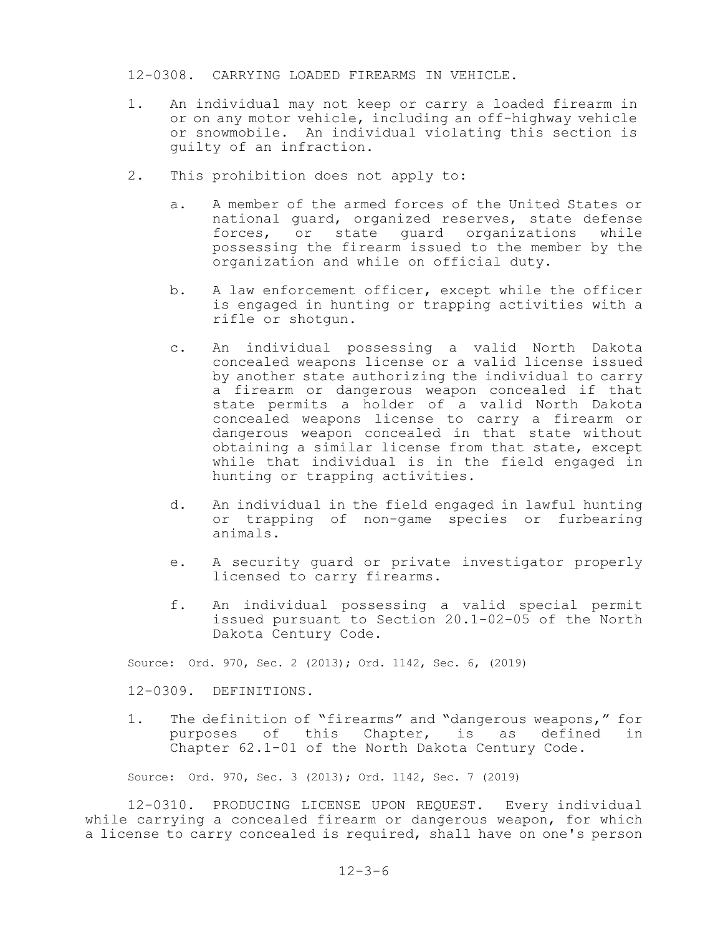#### 12-0308. CARRYING LOADED FIREARMS IN VEHICLE.

- 1. An individual may not keep or carry a loaded firearm in or on any motor vehicle, including an off-highway vehicle or snowmobile. An individual violating this section is guilty of an infraction.
- 2. This prohibition does not apply to:
	- a. A member of the armed forces of the United States or national guard, organized reserves, state defense forces, or state guard organizations while possessing the firearm issued to the member by the organization and while on official duty.
	- b. A law enforcement officer, except while the officer is engaged in hunting or trapping activities with a rifle or shotgun.
	- c. An individual possessing a valid North Dakota concealed weapons license or a valid license issued by another state authorizing the individual to carry a firearm or dangerous weapon concealed if that state permits a holder of a valid North Dakota concealed weapons license to carry a firearm or dangerous weapon concealed in that state without obtaining a similar license from that state, except while that individual is in the field engaged in hunting or trapping activities.
	- d. An individual in the field engaged in lawful hunting or trapping of non-game species or furbearing animals.
	- e. A security guard or private investigator properly licensed to carry firearms.
	- f. An individual possessing a valid special permit issued pursuant to Section 20.1-02-05 of the North Dakota Century Code.

Source: Ord. 970, Sec. 2 (2013); Ord. 1142, Sec. 6, (2019)

12-0309. DEFINITIONS.

1. The definition of "firearms" and "dangerous weapons," for purposes of this Chapter, is as defined in Chapter 62.1-01 of the North Dakota Century Code.

Source: Ord. 970, Sec. 3 (2013); Ord. 1142, Sec. 7 (2019)

12-0310. PRODUCING LICENSE UPON REQUEST. Every individual while carrying a concealed firearm or dangerous weapon, for which a license to carry concealed is required, shall have on one's person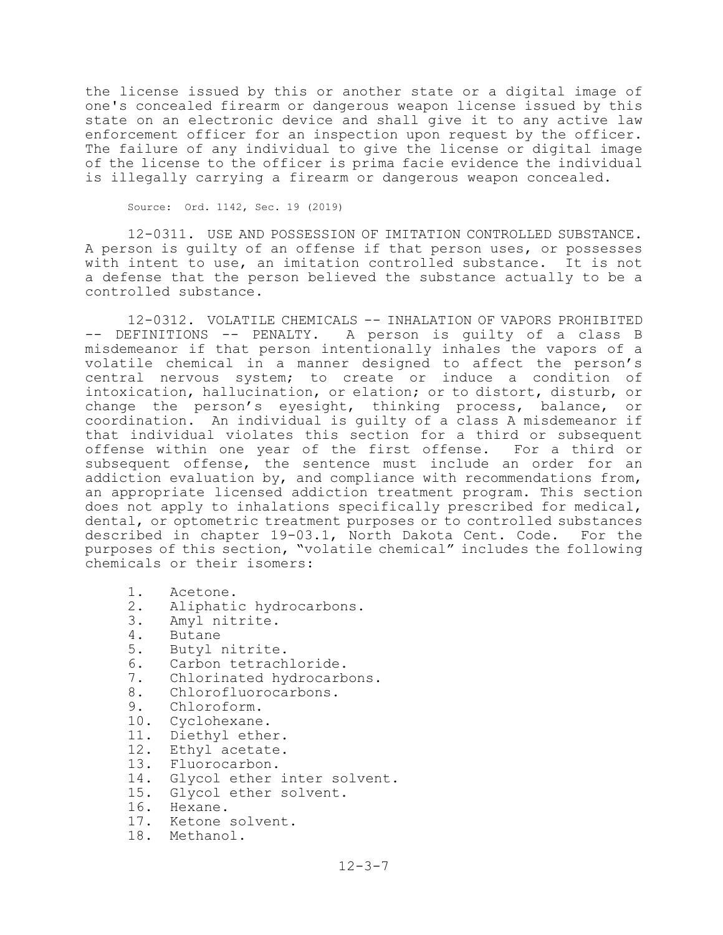the license issued by this or another state or a digital image of one's concealed firearm or dangerous weapon license issued by this state on an electronic device and shall give it to any active law enforcement officer for an inspection upon request by the officer. The failure of any individual to give the license or digital image of the license to the officer is prima facie evidence the individual is illegally carrying a firearm or dangerous weapon concealed.

Source: Ord. 1142, Sec. 19 (2019)

12-0311. USE AND POSSESSION OF IMITATION CONTROLLED SUBSTANCE. A person is guilty of an offense if that person uses, or possesses with intent to use, an imitation controlled substance. It is not a defense that the person believed the substance actually to be a controlled substance.

12-0312. VOLATILE CHEMICALS -- INHALATION OF VAPORS PROHIBITED -- DEFINITIONS -- PENALTY. A person is guilty of a class B misdemeanor if that person intentionally inhales the vapors of a volatile chemical in a manner designed to affect the person's central nervous system; to create or induce a condition of intoxication, hallucination, or elation; or to distort, disturb, or change the person's eyesight, thinking process, balance, or coordination. An individual is guilty of a class A misdemeanor if that individual violates this section for a third or subsequent offense within one year of the first offense. For a third or subsequent offense, the sentence must include an order for an addiction evaluation by, and compliance with recommendations from, an appropriate licensed addiction treatment program. This section does not apply to inhalations specifically prescribed for medical, dental, or optometric treatment purposes or to controlled substances described in chapter 19-03.1, North Dakota Cent. Code. For the purposes of this section, "volatile chemical" includes the following chemicals or their isomers:

- 1. Acetone.
- 2. Aliphatic hydrocarbons.<br>3. Amvl nitrite.
- Amyl nitrite.
- 4. Butane
- 5. Butyl nitrite.
- 
- 6. Carbon tetrachloride.<br>7. Chlorinated hydrocarb Chlorinated hydrocarbons.
- 8. Chlorofluorocarbons.
- 9. Chloroform.
- 10. Cyclohexane.
- 11. Diethyl ether.
- 12. Ethyl acetate.
- 13. Fluorocarbon.
- 14. Glycol ether inter solvent.
- 15. Glycol ether solvent.
- 16. Hexane.
- 17. Ketone solvent.
- 18. Methanol.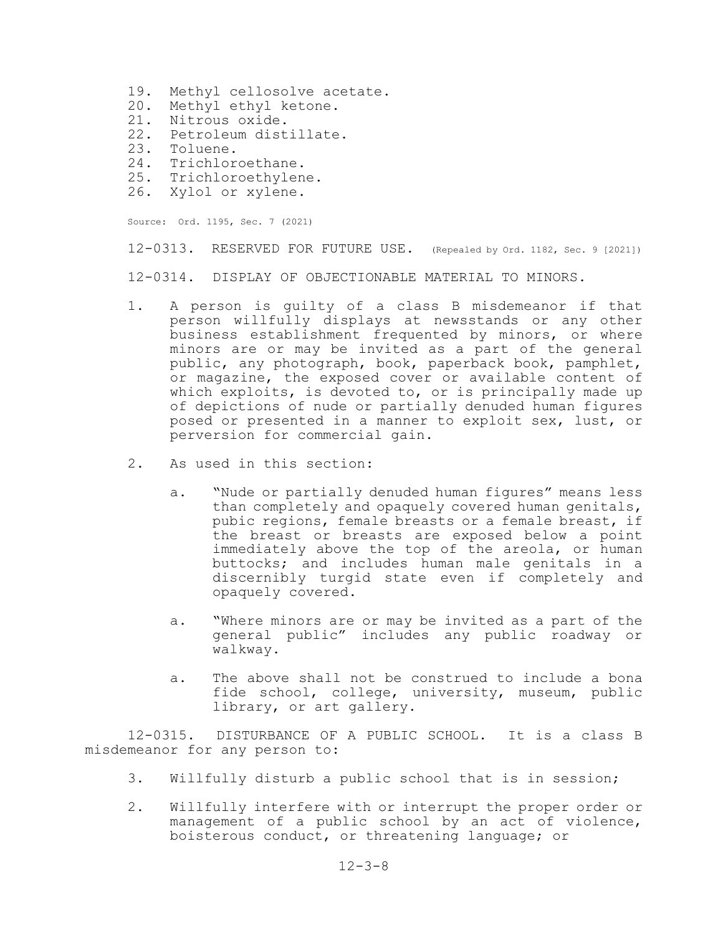- 19. Methyl cellosolve acetate.
- 20. Methyl ethyl ketone.
- 21. Nitrous oxide.
- 22. Petroleum distillate.
- 23. Toluene.<br>24. Trichlor
- Trichloroethane.
- 25. Trichloroethylene.
- 26. Xylol or xylene.

Source: Ord. 1195, Sec. 7 (2021)

12-0313. RESERVED FOR FUTURE USE. (Repealed by Ord. 1182, Sec. 9 [2021])

12-0314. DISPLAY OF OBJECTIONABLE MATERIAL TO MINORS.

- 1. A person is guilty of a class B misdemeanor if that person willfully displays at newsstands or any other business establishment frequented by minors, or where minors are or may be invited as a part of the general public, any photograph, book, paperback book, pamphlet, or magazine, the exposed cover or available content of which exploits, is devoted to, or is principally made up of depictions of nude or partially denuded human figures posed or presented in a manner to exploit sex, lust, or perversion for commercial gain.
- 2. As used in this section:
	- a. "Nude or partially denuded human figures" means less than completely and opaquely covered human genitals, pubic regions, female breasts or a female breast, if the breast or breasts are exposed below a point immediately above the top of the areola, or human buttocks; and includes human male genitals in a discernibly turgid state even if completely and opaquely covered.
	- a. "Where minors are or may be invited as a part of the general public" includes any public roadway or walkway.
	- a. The above shall not be construed to include a bona fide school, college, university, museum, public library, or art gallery.

12-0315. DISTURBANCE OF A PUBLIC SCHOOL. It is a class B misdemeanor for any person to:

- 3. Willfully disturb a public school that is in session;
- 2. Willfully interfere with or interrupt the proper order or management of a public school by an act of violence, boisterous conduct, or threatening language; or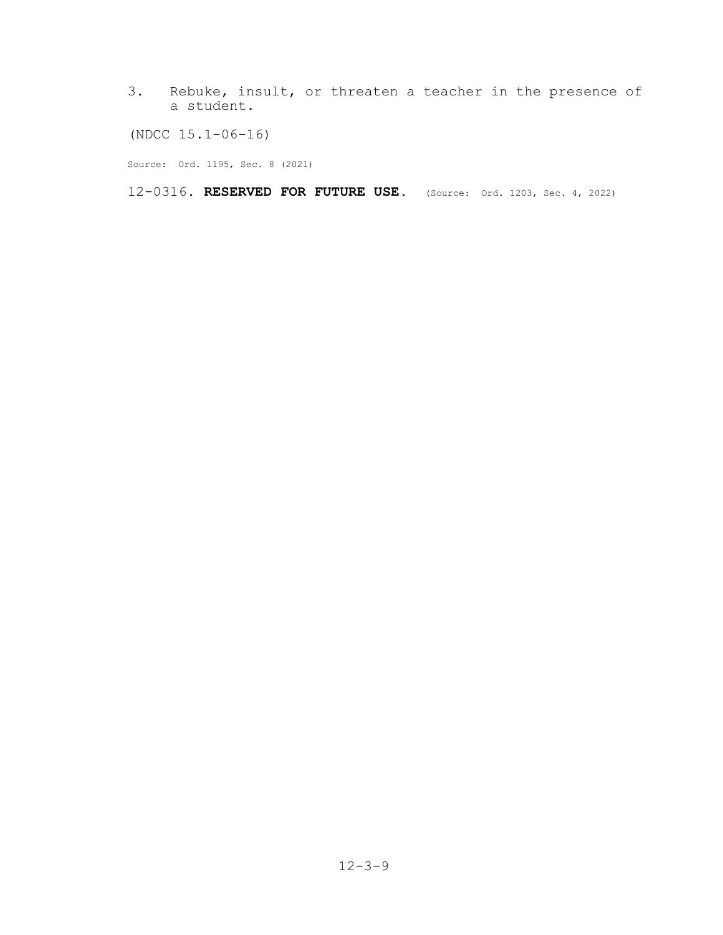3. Rebuke, insult, or threaten a teacher in the presence of a student.

(NDCC 15.1-06-16)

Source: Ord. 1195, Sec. 8 (2021)

12-0316. **RESERVED FOR FUTURE USE.** (Source: Ord. 1203, Sec. 4, 2022)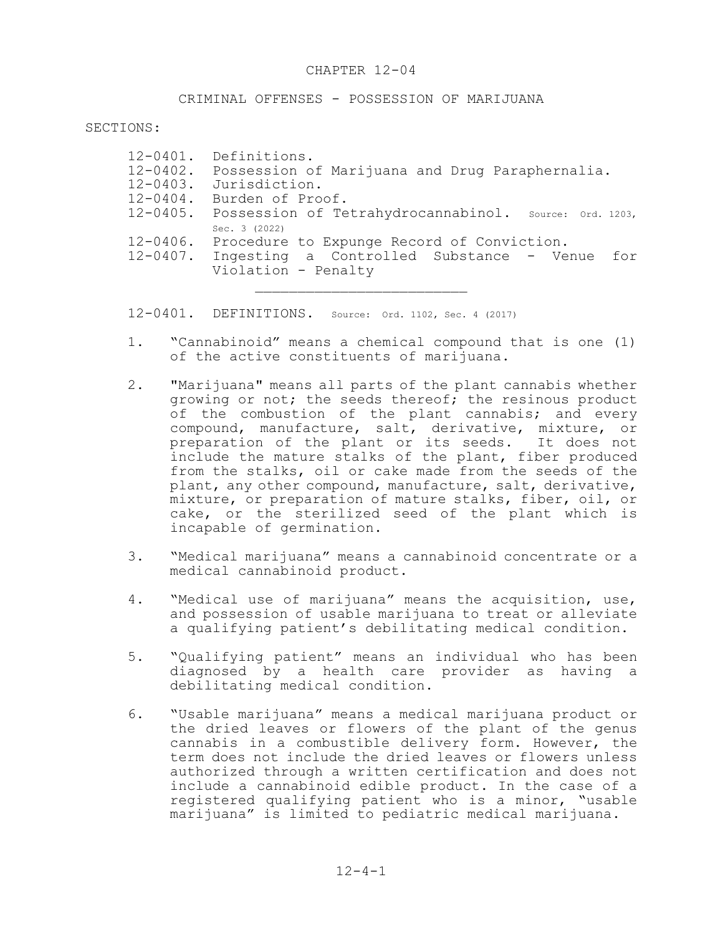#### CRIMINAL OFFENSES - POSSESSION OF MARIJUANA

SECTIONS:

|               | 12-0401. Definitions.                                           |
|---------------|-----------------------------------------------------------------|
|               | 12-0402. Possession of Marijuana and Drug Paraphernalia.        |
| $12 - 0403$ . | Jurisdiction.                                                   |
|               | 12-0404. Burden of Proof.                                       |
|               | 12-0405. Possession of Tetrahydrocannabinol. source: ord. 1203, |
|               | Sec. 3 (2022)                                                   |
| $12 - 0406$ . | Procedure to Expunge Record of Conviction.                      |
|               | 12-0407. Ingesting a Controlled Substance - Venue<br>for        |
|               | Violation - Penalty                                             |
|               |                                                                 |

12-0401. DEFINITIONS. Source: Ord. 1102, Sec. 4 (2017)

- 1. "Cannabinoid" means a chemical compound that is one (1) of the active constituents of marijuana.
- 2. "Marijuana" means all parts of the plant cannabis whether growing or not; the seeds thereof; the resinous product of the combustion of the plant cannabis; and every compound, manufacture, salt, derivative, mixture, or preparation of the plant or its seeds. It does not include the mature stalks of the plant, fiber produced from the stalks, oil or cake made from the seeds of the plant, any other compound, manufacture, salt, derivative, mixture, or preparation of mature stalks, fiber, oil, or cake, or the sterilized seed of the plant which is incapable of germination.
- 3. "Medical marijuana" means a cannabinoid concentrate or a medical cannabinoid product.
- 4. "Medical use of marijuana" means the acquisition, use, and possession of usable marijuana to treat or alleviate a qualifying patient's debilitating medical condition.
- 5. "Qualifying patient" means an individual who has been diagnosed by a health care provider as having a debilitating medical condition.
- 6. "Usable marijuana" means a medical marijuana product or the dried leaves or flowers of the plant of the genus cannabis in a combustible delivery form. However, the term does not include the dried leaves or flowers unless authorized through a written certification and does not include a cannabinoid edible product. In the case of a registered qualifying patient who is a minor, "usable marijuana" is limited to pediatric medical marijuana.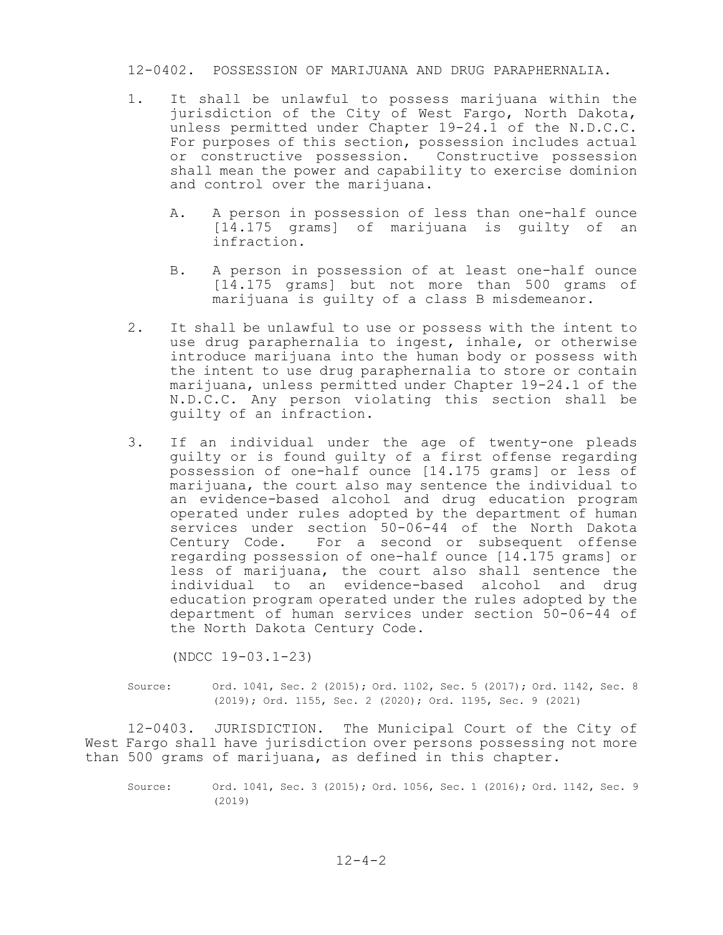#### 12-0402. POSSESSION OF MARIJUANA AND DRUG PARAPHERNALIA.

- 1. It shall be unlawful to possess marijuana within the jurisdiction of the City of West Fargo, North Dakota, unless permitted under Chapter 19-24.1 of the N.D.C.C. For purposes of this section, possession includes actual or constructive possession. Constructive possession shall mean the power and capability to exercise dominion and control over the marijuana.
	- A. A person in possession of less than one-half ounce [14.175 grams] of marijuana is guilty of an infraction.
	- B. A person in possession of at least one-half ounce [14.175 grams] but not more than 500 grams of marijuana is guilty of a class B misdemeanor.
- 2. It shall be unlawful to use or possess with the intent to use drug paraphernalia to ingest, inhale, or otherwise introduce marijuana into the human body or possess with the intent to use drug paraphernalia to store or contain marijuana, unless permitted under Chapter 19-24.1 of the N.D.C.C. Any person violating this section shall be guilty of an infraction.
- 3. If an individual under the age of twenty-one pleads guilty or is found guilty of a first offense regarding possession of one-half ounce [14.175 grams] or less of marijuana, the court also may sentence the individual to an evidence-based alcohol and drug education program operated under rules adopted by the department of human services under section 50-06-44 of the North Dakota Century Code. For a second or subsequent offense regarding possession of one-half ounce [14.175 grams] or less of marijuana, the court also shall sentence the individual to an evidence-based alcohol and drug education program operated under the rules adopted by the department of human services under section 50-06-44 of the North Dakota Century Code.

(NDCC 19-03.1-23)

Source: Ord. 1041, Sec. 2 (2015); Ord. 1102, Sec. 5 (2017); Ord. 1142, Sec. 8 (2019); Ord. 1155, Sec. 2 (2020); Ord. 1195, Sec. 9 (2021)

12-0403. JURISDICTION. The Municipal Court of the City of West Fargo shall have jurisdiction over persons possessing not more than 500 grams of marijuana, as defined in this chapter.

Source: Ord. 1041, Sec. 3 (2015); Ord. 1056, Sec. 1 (2016); Ord. 1142, Sec. 9 (2019)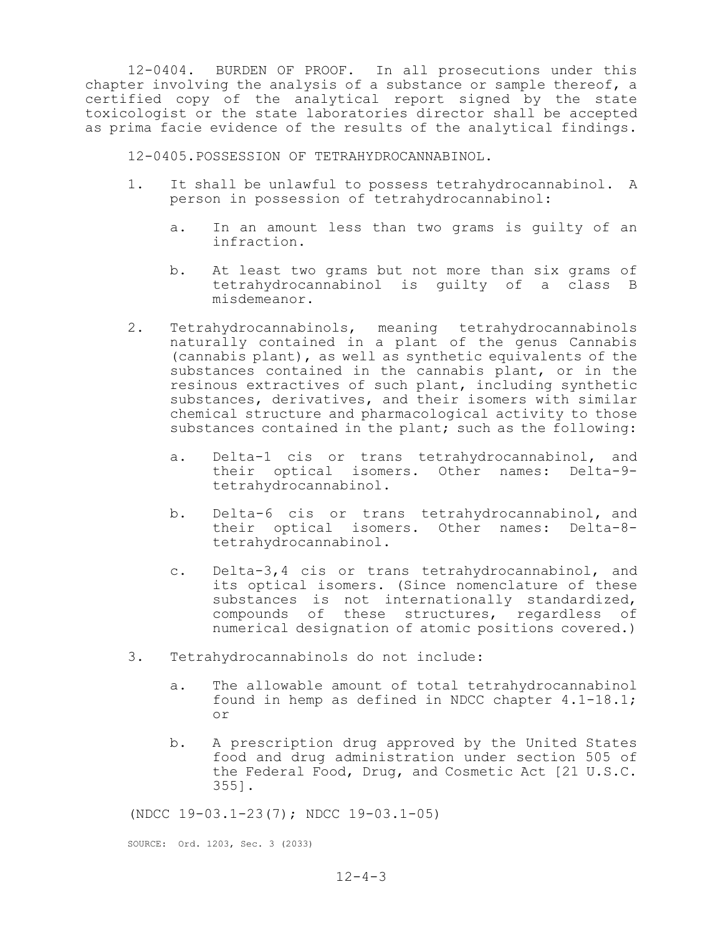12-0404. BURDEN OF PROOF. In all prosecutions under this chapter involving the analysis of a substance or sample thereof, a certified copy of the analytical report signed by the state toxicologist or the state laboratories director shall be accepted as prima facie evidence of the results of the analytical findings.

12-0405.POSSESSION OF TETRAHYDROCANNABINOL.

- 1. It shall be unlawful to possess tetrahydrocannabinol. A person in possession of tetrahydrocannabinol:
	- a. In an amount less than two grams is guilty of an infraction.
	- b. At least two grams but not more than six grams of tetrahydrocannabinol is guilty of a class B misdemeanor.
- 2. Tetrahydrocannabinols, meaning tetrahydrocannabinols naturally contained in a plant of the genus Cannabis (cannabis plant), as well as synthetic equivalents of the substances contained in the cannabis plant, or in the resinous extractives of such plant, including synthetic substances, derivatives, and their isomers with similar chemical structure and pharmacological activity to those substances contained in the plant; such as the following:
	- a. Delta-1 cis or trans tetrahydrocannabinol, and their optical isomers. Other names: Delta-9 tetrahydrocannabinol.
	- b. Delta-6 cis or trans tetrahydrocannabinol, and their optical isomers. Other names: Delta-8 tetrahydrocannabinol.
	- c. Delta-3,4 cis or trans tetrahydrocannabinol, and its optical isomers. (Since nomenclature of these substances is not internationally standardized, compounds of these structures, regardless of numerical designation of atomic positions covered.)
- 3. Tetrahydrocannabinols do not include:
	- a. The allowable amount of total tetrahydrocannabinol found in hemp as defined in NDCC chapter 4.1-18.1; or
	- b. A prescription drug approved by the United States food and drug administration under section 505 of the Federal Food, Drug, and Cosmetic Act [21 U.S.C. 355].

(NDCC 19-03.1-23(7); NDCC 19-03.1-05)

SOURCE: Ord. 1203, Sec. 3 (2033)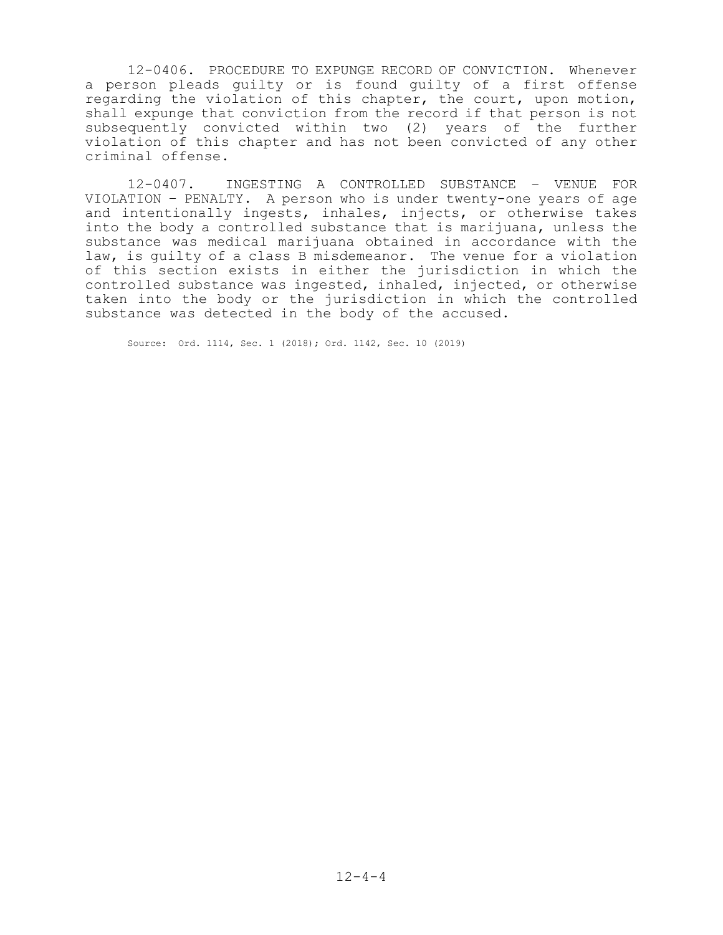12-0406. PROCEDURE TO EXPUNGE RECORD OF CONVICTION. Whenever a person pleads guilty or is found guilty of a first offense regarding the violation of this chapter, the court, upon motion, shall expunge that conviction from the record if that person is not subsequently convicted within two (2) years of the further violation of this chapter and has not been convicted of any other criminal offense.

12-0407. INGESTING A CONTROLLED SUBSTANCE – VENUE FOR VIOLATION – PENALTY. A person who is under twenty-one years of age and intentionally ingests, inhales, injects, or otherwise takes into the body a controlled substance that is marijuana, unless the substance was medical marijuana obtained in accordance with the law, is guilty of a class B misdemeanor. The venue for a violation of this section exists in either the jurisdiction in which the controlled substance was ingested, inhaled, injected, or otherwise taken into the body or the jurisdiction in which the controlled substance was detected in the body of the accused.

Source: Ord. 1114, Sec. 1 (2018); Ord. 1142, Sec. 10 (2019)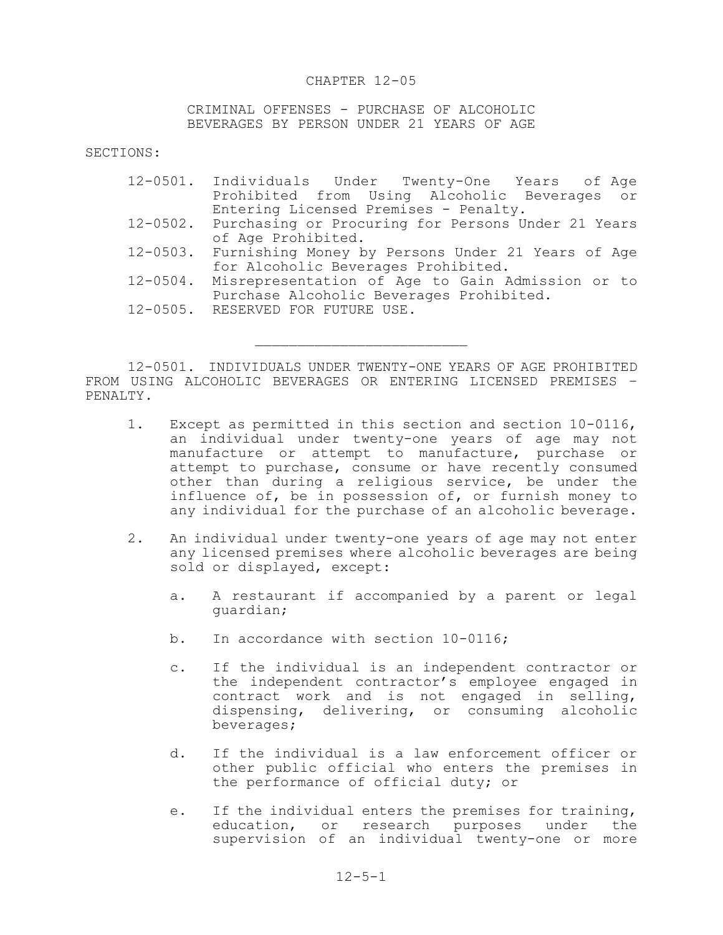#### CHAPTER 12-05

CRIMINAL OFFENSES - PURCHASE OF ALCOHOLIC BEVERAGES BY PERSON UNDER 21 YEARS OF AGE

SECTIONS:

|               | 12-0501. Individuals Under Twenty-One Years of Age          |
|---------------|-------------------------------------------------------------|
|               | Prohibited from Using Alcoholic Beverages or                |
|               | Entering Licensed Premises - Penalty.                       |
|               | 12-0502. Purchasing or Procuring for Persons Under 21 Years |
|               | of Age Prohibited.                                          |
|               | 12-0503. Furnishing Money by Persons Under 21 Years of Age  |
|               | for Alcoholic Beverages Prohibited.                         |
| $12 - 0504$ . | Misrepresentation of Age to Gain Admission or to            |
|               | Purchase Alcoholic Beverages Prohibited.                    |
|               | 12-0505. RESERVED FOR FUTURE USE.                           |
|               |                                                             |

12-0501. INDIVIDUALS UNDER TWENTY-ONE YEARS OF AGE PROHIBITED FROM USING ALCOHOLIC BEVERAGES OR ENTERING LICENSED PREMISES – PENALTY.

 $\mathcal{L}_\text{max}$ 

- 1. Except as permitted in this section and section 10-0116, an individual under twenty-one years of age may not manufacture or attempt to manufacture, purchase or attempt to purchase, consume or have recently consumed other than during a religious service, be under the influence of, be in possession of, or furnish money to any individual for the purchase of an alcoholic beverage.
- 2. An individual under twenty-one years of age may not enter any licensed premises where alcoholic beverages are being sold or displayed, except:
	- a. A restaurant if accompanied by a parent or legal guardian;
	- b. In accordance with section 10-0116;
	- c. If the individual is an independent contractor or the independent contractor's employee engaged in contract work and is not engaged in selling, dispensing, delivering, or consuming alcoholic beverages;
	- d. If the individual is a law enforcement officer or other public official who enters the premises in the performance of official duty; or
	- e. If the individual enters the premises for training, education, or research purposes under the supervision of an individual twenty-one or more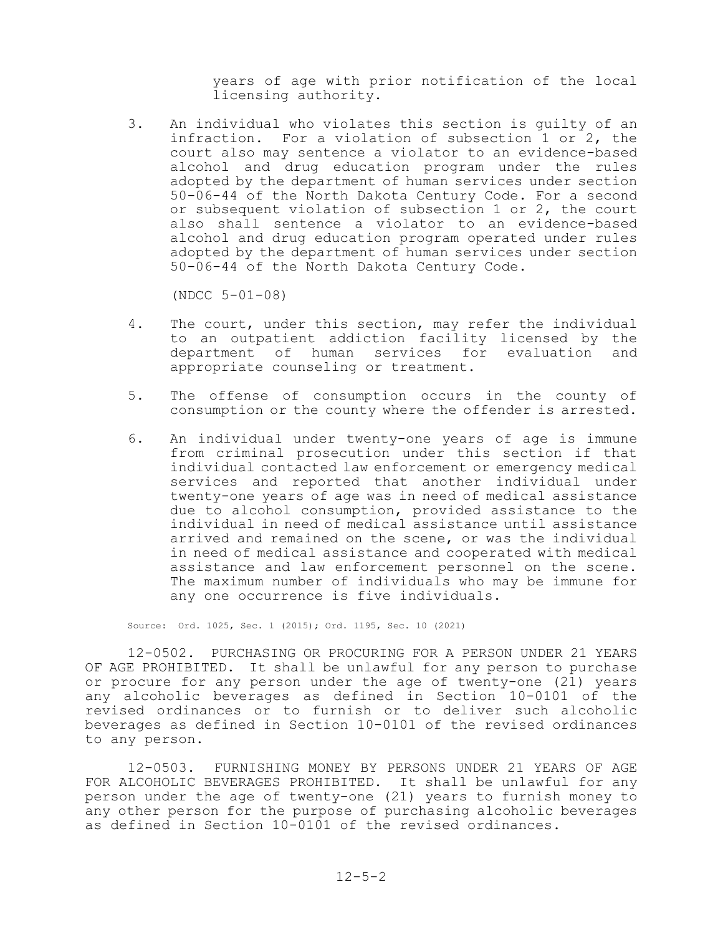years of age with prior notification of the local licensing authority.

3. An individual who violates this section is guilty of an infraction. For a violation of subsection 1 or 2, the court also may sentence a violator to an evidence-based alcohol and drug education program under the rules adopted by the department of human services under section 50-06-44 of the North Dakota Century Code. For a second or subsequent violation of subsection 1 or 2, the court also shall sentence a violator to an evidence-based alcohol and drug education program operated under rules adopted by the department of human services under section 50-06-44 of the North Dakota Century Code.

(NDCC 5-01-08)

- 4. The court, under this section, may refer the individual to an outpatient addiction facility licensed by the department of human services for evaluation and appropriate counseling or treatment.
- 5. The offense of consumption occurs in the county of consumption or the county where the offender is arrested.
- 6. An individual under twenty-one years of age is immune from criminal prosecution under this section if that individual contacted law enforcement or emergency medical services and reported that another individual under twenty-one years of age was in need of medical assistance due to alcohol consumption, provided assistance to the individual in need of medical assistance until assistance arrived and remained on the scene, or was the individual in need of medical assistance and cooperated with medical assistance and law enforcement personnel on the scene. The maximum number of individuals who may be immune for any one occurrence is five individuals.

Source: Ord. 1025, Sec. 1 (2015); Ord. 1195, Sec. 10 (2021)

12-0502. PURCHASING OR PROCURING FOR A PERSON UNDER 21 YEARS OF AGE PROHIBITED. It shall be unlawful for any person to purchase or procure for any person under the age of twenty-one (21) years any alcoholic beverages as defined in Section 10-0101 of the revised ordinances or to furnish or to deliver such alcoholic beverages as defined in Section 10-0101 of the revised ordinances to any person.

12-0503. FURNISHING MONEY BY PERSONS UNDER 21 YEARS OF AGE FOR ALCOHOLIC BEVERAGES PROHIBITED. It shall be unlawful for any person under the age of twenty-one (21) years to furnish money to any other person for the purpose of purchasing alcoholic beverages as defined in Section 10-0101 of the revised ordinances.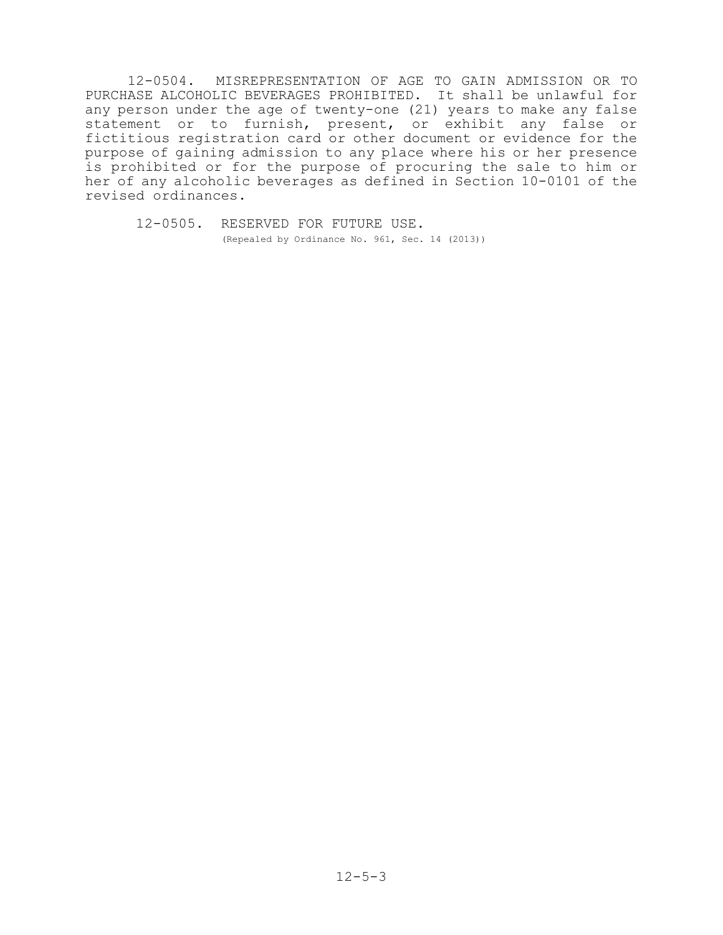12-0504. MISREPRESENTATION OF AGE TO GAIN ADMISSION OR TO PURCHASE ALCOHOLIC BEVERAGES PROHIBITED. It shall be unlawful for any person under the age of twenty-one (21) years to make any false statement or to furnish, present, or exhibit any false or fictitious registration card or other document or evidence for the purpose of gaining admission to any place where his or her presence is prohibited or for the purpose of procuring the sale to him or her of any alcoholic beverages as defined in Section 10-0101 of the revised ordinances.

 12-0505. RESERVED FOR FUTURE USE. (Repealed by Ordinance No. 961, Sec. 14 (2013))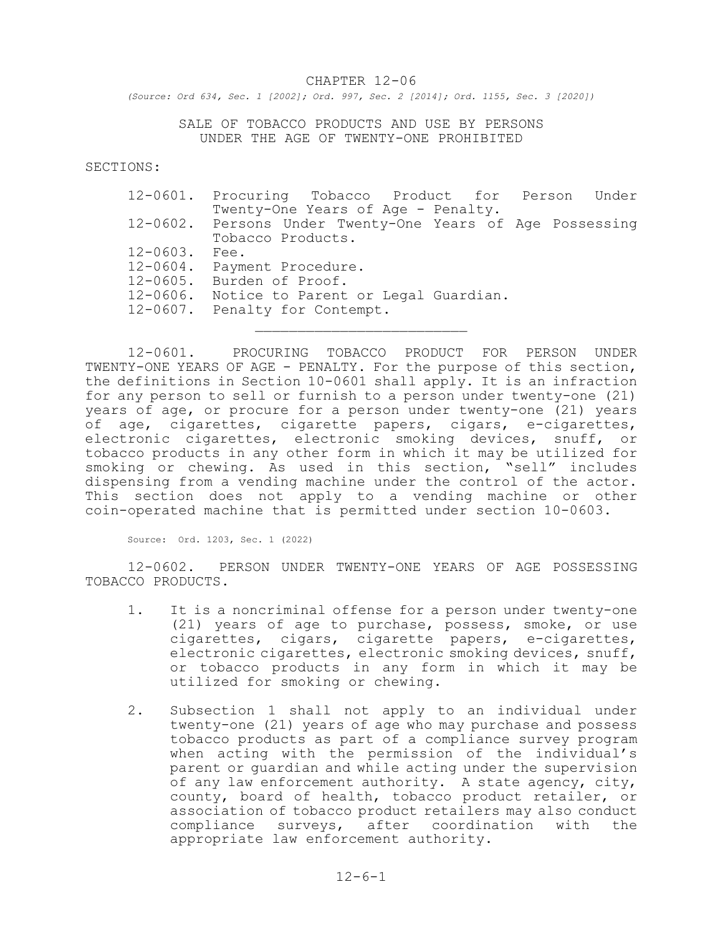#### CHAPTER 12-06

*(Source: Ord 634, Sec. 1 [2002]; Ord. 997, Sec. 2 [2014]; Ord. 1155, Sec. 3 [2020])*

SALE OF TOBACCO PRODUCTS AND USE BY PERSONS UNDER THE AGE OF TWENTY-ONE PROHIBITED

SECTIONS:

|               | 12-0601. Procuring Tobacco Product for Person Under       |  |  |  |  |
|---------------|-----------------------------------------------------------|--|--|--|--|
|               | Twenty-One Years of Age - Penalty.                        |  |  |  |  |
|               | 12-0602. Persons Under Twenty-One Years of Age Possessing |  |  |  |  |
|               | Tobacco Products.                                         |  |  |  |  |
| $12 - 0603$ . | Fee.                                                      |  |  |  |  |
|               | 12-0604. Payment Procedure.                               |  |  |  |  |
| 12-0605.      | Burden of Proof.                                          |  |  |  |  |
| 12-0606.      | Notice to Parent or Legal Guardian.                       |  |  |  |  |
|               | 12-0607. Penalty for Contempt.                            |  |  |  |  |

12-0601. PROCURING TOBACCO PRODUCT FOR PERSON UNDER TWENTY-ONE YEARS OF AGE - PENALTY. For the purpose of this section, the definitions in Section 10-0601 shall apply. It is an infraction for any person to sell or furnish to a person under twenty-one (21) years of age, or procure for a person under twenty-one (21) years of age, cigarettes, cigarette papers, cigars, e-cigarettes, electronic cigarettes, electronic smoking devices, snuff, or tobacco products in any other form in which it may be utilized for smoking or chewing. As used in this section, "sell" includes dispensing from a vending machine under the control of the actor. This section does not apply to a vending machine or other coin-operated machine that is permitted under section 10-0603.

Source: Ord. 1203, Sec. 1 (2022)

12-0602. PERSON UNDER TWENTY-ONE YEARS OF AGE POSSESSING TOBACCO PRODUCTS.

- 1. It is a noncriminal offense for a person under twenty-one (21) years of age to purchase, possess, smoke, or use cigarettes, cigars, cigarette papers, e-cigarettes, electronic cigarettes, electronic smoking devices, snuff, or tobacco products in any form in which it may be utilized for smoking or chewing.
- 2. Subsection 1 shall not apply to an individual under twenty-one (21) years of age who may purchase and possess tobacco products as part of a compliance survey program when acting with the permission of the individual's parent or guardian and while acting under the supervision of any law enforcement authority. A state agency, city, county, board of health, tobacco product retailer, or association of tobacco product retailers may also conduct compliance surveys, after coordination with the appropriate law enforcement authority.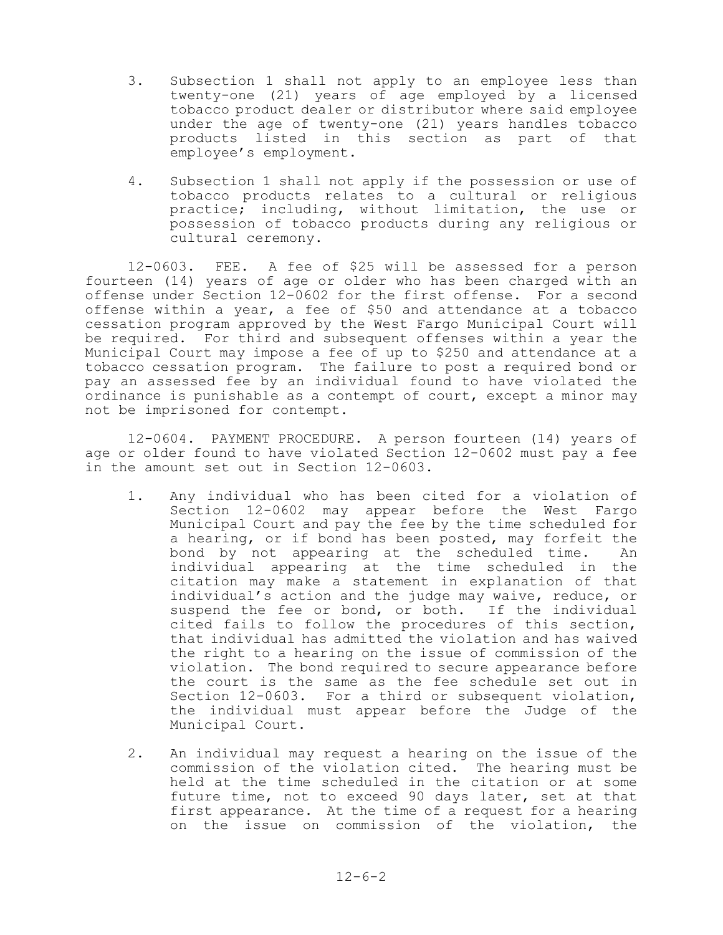- 3. Subsection 1 shall not apply to an employee less than twenty-one (21) years of age employed by a licensed tobacco product dealer or distributor where said employee under the age of twenty-one (21) years handles tobacco products listed in this section as part of that employee's employment.
- 4. Subsection 1 shall not apply if the possession or use of tobacco products relates to a cultural or religious practice; including, without limitation, the use or possession of tobacco products during any religious or cultural ceremony.

12-0603. FEE. A fee of \$25 will be assessed for a person fourteen (14) years of age or older who has been charged with an offense under Section 12-0602 for the first offense. For a second offense within a year, a fee of \$50 and attendance at a tobacco cessation program approved by the West Fargo Municipal Court will be required. For third and subsequent offenses within a year the Municipal Court may impose a fee of up to \$250 and attendance at a tobacco cessation program. The failure to post a required bond or pay an assessed fee by an individual found to have violated the ordinance is punishable as a contempt of court, except a minor may not be imprisoned for contempt.

12-0604. PAYMENT PROCEDURE. A person fourteen (14) years of age or older found to have violated Section 12-0602 must pay a fee in the amount set out in Section 12-0603.

- 1. Any individual who has been cited for a violation of Section 12-0602 may appear before the West Fargo Municipal Court and pay the fee by the time scheduled for a hearing, or if bond has been posted, may forfeit the bond by not appearing at the scheduled time. An individual appearing at the time scheduled in the citation may make a statement in explanation of that individual's action and the judge may waive, reduce, or suspend the fee or bond, or both. If the individual cited fails to follow the procedures of this section, that individual has admitted the violation and has waived the right to a hearing on the issue of commission of the violation. The bond required to secure appearance before the court is the same as the fee schedule set out in Section 12-0603. For a third or subsequent violation, the individual must appear before the Judge of the Municipal Court.
- 2. An individual may request a hearing on the issue of the commission of the violation cited. The hearing must be held at the time scheduled in the citation or at some future time, not to exceed 90 days later, set at that first appearance. At the time of a request for a hearing on the issue on commission of the violation, the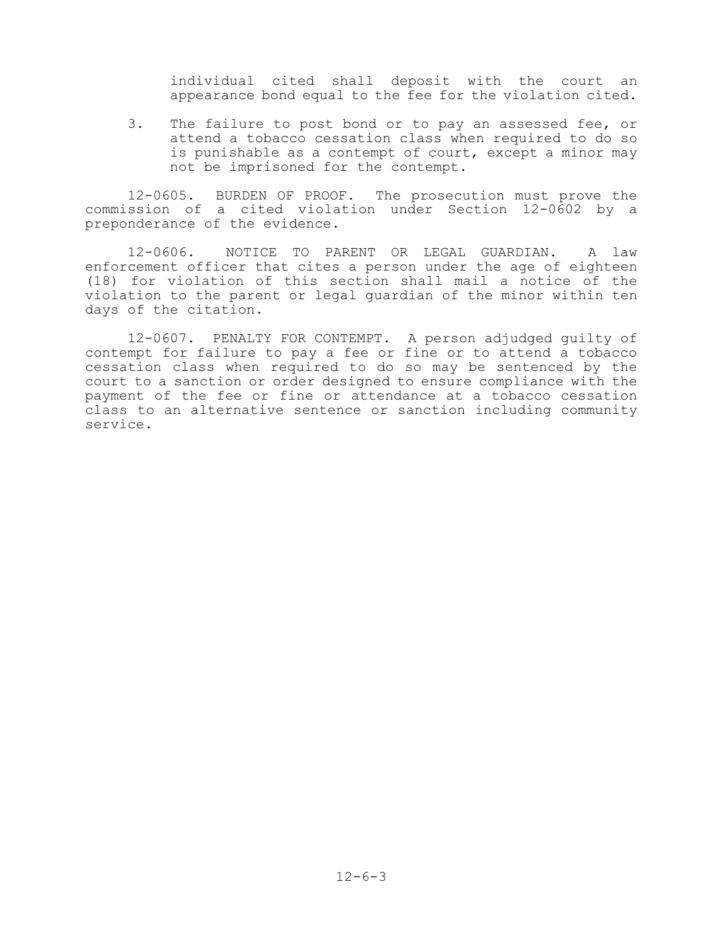individual cited shall deposit with the court an appearance bond equal to the fee for the violation cited.

3. The failure to post bond or to pay an assessed fee, or attend a tobacco cessation class when required to do so is punishable as a contempt of court, except a minor may not be imprisoned for the contempt.

12-0605. BURDEN OF PROOF. The prosecution must prove the commission of a cited violation under Section 12-0602 by a preponderance of the evidence.

12-0606. NOTICE TO PARENT OR LEGAL GUARDIAN. A law enforcement officer that cites a person under the age of eighteen (18) for violation of this section shall mail a notice of the violation to the parent or legal guardian of the minor within ten days of the citation.

12-0607. PENALTY FOR CONTEMPT. A person adjudged guilty of contempt for failure to pay a fee or fine or to attend a tobacco cessation class when required to do so may be sentenced by the court to a sanction or order designed to ensure compliance with the payment of the fee or fine or attendance at a tobacco cessation class to an alternative sentence or sanction including community service.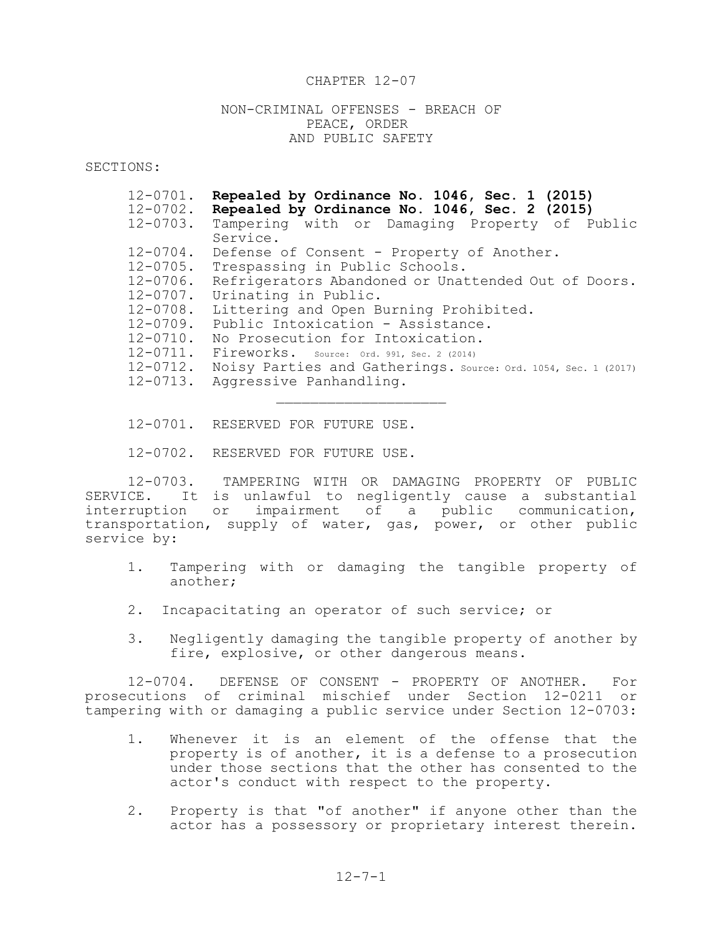#### CHAPTER 12-07

NON-CRIMINAL OFFENSES - BREACH OF PEACE, ORDER AND PUBLIC SAFETY

SECTIONS:

| $12 - 0701$ . | Repealed by Ordinance No. 1046, Sec. 1 (2015)                  |
|---------------|----------------------------------------------------------------|
| $12 - 0702$ . | Repealed by Ordinance No. 1046, Sec. 2 (2015)                  |
| $12 - 0703$ . | Tampering with or Damaging Property of Public                  |
|               | Service.                                                       |
| $12 - 0704$ . | Defense of Consent - Property of Another.                      |
| 12-0705.      | Trespassing in Public Schools.                                 |
| 12-0706.      | Refrigerators Abandoned or Unattended Out of Doors.            |
| $12 - 0707$ . | Urinating in Public.                                           |
| 12-0708.      | Littering and Open Burning Prohibited.                         |
| 12-0709.      | Public Intoxication - Assistance.                              |
| $12 - 0710$ . | No Prosecution for Intoxication.                               |
| 12-0711.      | Fireworks. Source: Ord. 991, Sec. 2 (2014)                     |
| 12-0712.      | Noisy Parties and Gatherings. Source: Ord. 1054, Sec. 1 (2017) |
| $12 - 0713$ . | Aggressive Panhandling.                                        |

12-0701. RESERVED FOR FUTURE USE.

12-0702. RESERVED FOR FUTURE USE.

12-0703. TAMPERING WITH OR DAMAGING PROPERTY OF PUBLIC SERVICE. It is unlawful to negligently cause a substantial interruption or impairment of a public communication, transportation, supply of water, gas, power, or other public service by:

- 1. Tampering with or damaging the tangible property of another;
- 2. Incapacitating an operator of such service; or
- 3. Negligently damaging the tangible property of another by fire, explosive, or other dangerous means.

12-0704. DEFENSE OF CONSENT - PROPERTY OF ANOTHER. For prosecutions of criminal mischief under Section 12-0211 or tampering with or damaging a public service under Section 12-0703:

- 1. Whenever it is an element of the offense that the property is of another, it is a defense to a prosecution under those sections that the other has consented to the actor's conduct with respect to the property.
- 2. Property is that "of another" if anyone other than the actor has a possessory or proprietary interest therein.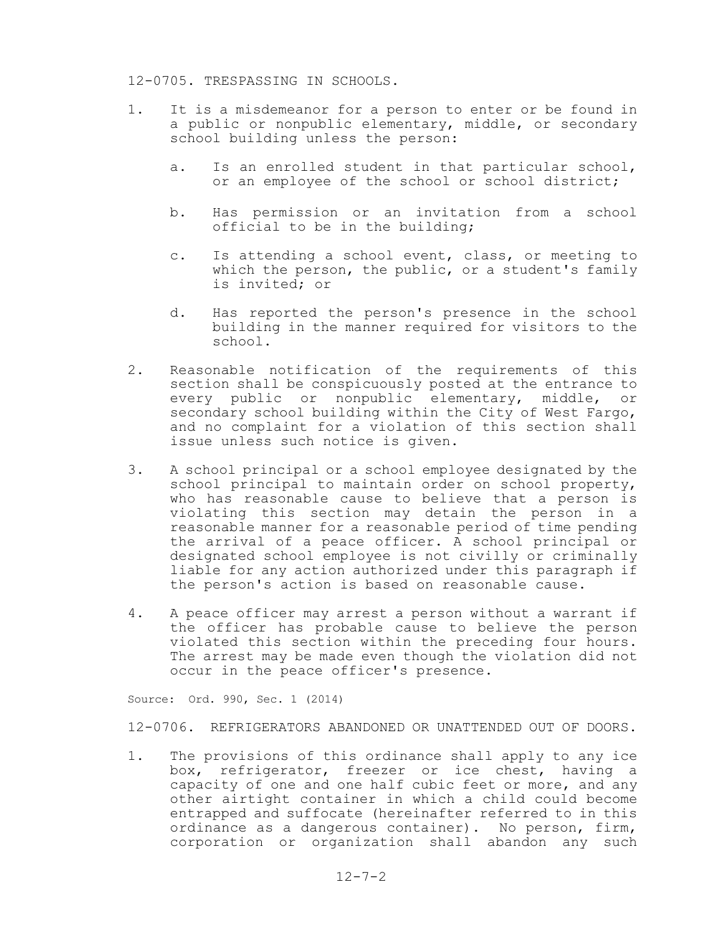#### 12-0705. TRESPASSING IN SCHOOLS.

- 1. It is a misdemeanor for a person to enter or be found in a public or nonpublic elementary, middle, or secondary school building unless the person:
	- a. Is an enrolled student in that particular school, or an employee of the school or school district;
	- b. Has permission or an invitation from a school official to be in the building;
	- c. Is attending a school event, class, or meeting to which the person, the public, or a student's family is invited; or
	- d. Has reported the person's presence in the school building in the manner required for visitors to the school.
- 2. Reasonable notification of the requirements of this section shall be conspicuously posted at the entrance to every public or nonpublic elementary, middle, or secondary school building within the City of West Fargo, and no complaint for a violation of this section shall issue unless such notice is given.
- 3. A school principal or a school employee designated by the school principal to maintain order on school property, who has reasonable cause to believe that a person is violating this section may detain the person in a reasonable manner for a reasonable period of time pending the arrival of a peace officer. A school principal or designated school employee is not civilly or criminally liable for any action authorized under this paragraph if the person's action is based on reasonable cause.
- 4. A peace officer may arrest a person without a warrant if the officer has probable cause to believe the person violated this section within the preceding four hours. The arrest may be made even though the violation did not occur in the peace officer's presence.

Source: Ord. 990, Sec. 1 (2014)

12-0706. REFRIGERATORS ABANDONED OR UNATTENDED OUT OF DOORS.

1. The provisions of this ordinance shall apply to any ice box, refrigerator, freezer or ice chest, having a capacity of one and one half cubic feet or more, and any other airtight container in which a child could become entrapped and suffocate (hereinafter referred to in this ordinance as a dangerous container). No person, firm, corporation or organization shall abandon any such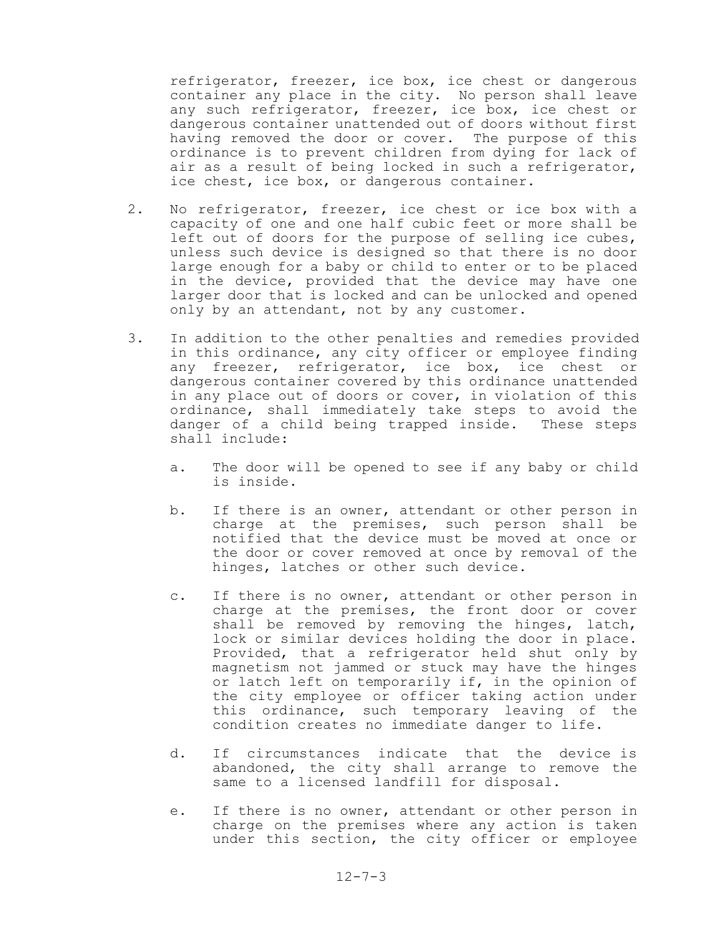refrigerator, freezer, ice box, ice chest or dangerous container any place in the city. No person shall leave any such refrigerator, freezer, ice box, ice chest or dangerous container unattended out of doors without first having removed the door or cover. The purpose of this ordinance is to prevent children from dying for lack of air as a result of being locked in such a refrigerator, ice chest, ice box, or dangerous container.

- 2. No refrigerator, freezer, ice chest or ice box with a capacity of one and one half cubic feet or more shall be left out of doors for the purpose of selling ice cubes, unless such device is designed so that there is no door large enough for a baby or child to enter or to be placed in the device, provided that the device may have one larger door that is locked and can be unlocked and opened only by an attendant, not by any customer.
- 3. In addition to the other penalties and remedies provided in this ordinance, any city officer or employee finding any freezer, refrigerator, ice box, ice chest or dangerous container covered by this ordinance unattended in any place out of doors or cover, in violation of this ordinance, shall immediately take steps to avoid the danger of a child being trapped inside. These steps shall include:
	- a. The door will be opened to see if any baby or child is inside.
	- b. If there is an owner, attendant or other person in charge at the premises, such person shall be notified that the device must be moved at once or the door or cover removed at once by removal of the hinges, latches or other such device.
	- c. If there is no owner, attendant or other person in charge at the premises, the front door or cover shall be removed by removing the hinges, latch, lock or similar devices holding the door in place. Provided, that a refrigerator held shut only by magnetism not jammed or stuck may have the hinges or latch left on temporarily if, in the opinion of the city employee or officer taking action under this ordinance, such temporary leaving of the condition creates no immediate danger to life.
	- d. If circumstances indicate that the device is abandoned, the city shall arrange to remove the same to a licensed landfill for disposal.
	- e. If there is no owner, attendant or other person in charge on the premises where any action is taken under this section, the city officer or employee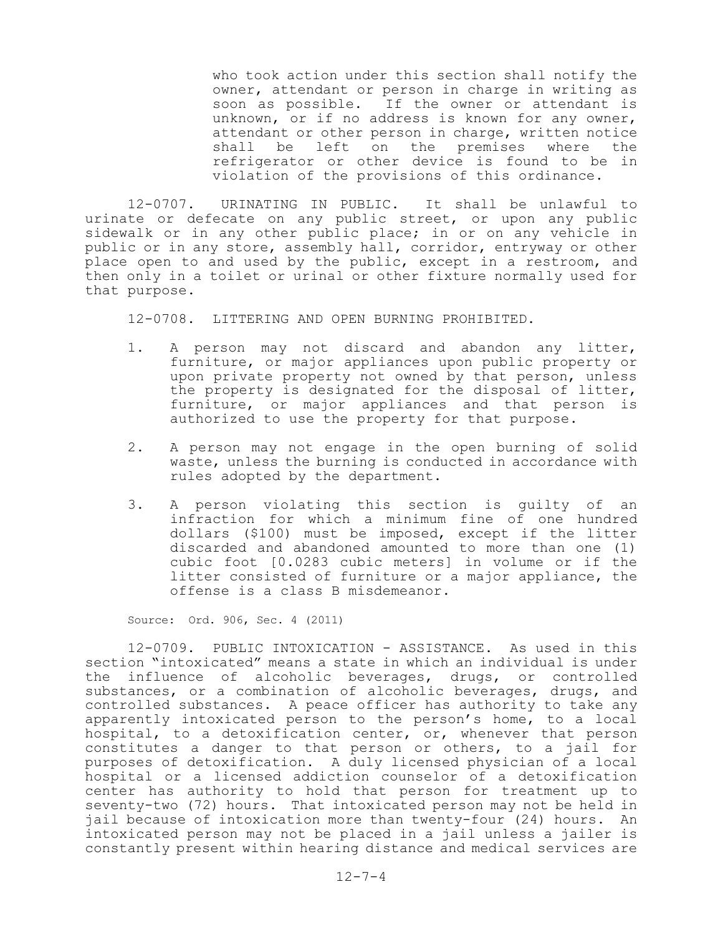who took action under this section shall notify the owner, attendant or person in charge in writing as soon as possible. If the owner or attendant is unknown, or if no address is known for any owner, attendant or other person in charge, written notice shall be left on the premises where the refrigerator or other device is found to be in violation of the provisions of this ordinance.

12-0707. URINATING IN PUBLIC. It shall be unlawful to urinate or defecate on any public street, or upon any public sidewalk or in any other public place; in or on any vehicle in public or in any store, assembly hall, corridor, entryway or other place open to and used by the public, except in a restroom, and then only in a toilet or urinal or other fixture normally used for that purpose.

12-0708. LITTERING AND OPEN BURNING PROHIBITED.

- 1. A person may not discard and abandon any litter, furniture, or major appliances upon public property or upon private property not owned by that person, unless the property is designated for the disposal of litter, furniture, or major appliances and that person is authorized to use the property for that purpose.
- 2. A person may not engage in the open burning of solid waste, unless the burning is conducted in accordance with rules adopted by the department.
- 3. A person violating this section is guilty of an infraction for which a minimum fine of one hundred dollars (\$100) must be imposed, except if the litter discarded and abandoned amounted to more than one (1) cubic foot [0.0283 cubic meters] in volume or if the litter consisted of furniture or a major appliance, the offense is a class B misdemeanor.

Source: Ord. 906, Sec. 4 (2011)

12-0709. PUBLIC INTOXICATION - ASSISTANCE. As used in this section "intoxicated" means a state in which an individual is under the influence of alcoholic beverages, drugs, or controlled substances, or a combination of alcoholic beverages, drugs, and controlled substances. A peace officer has authority to take any apparently intoxicated person to the person's home, to a local hospital, to a detoxification center, or, whenever that person constitutes a danger to that person or others, to a jail for purposes of detoxification. A duly licensed physician of a local hospital or a licensed addiction counselor of a detoxification center has authority to hold that person for treatment up to seventy-two (72) hours. That intoxicated person may not be held in jail because of intoxication more than twenty-four (24) hours. An intoxicated person may not be placed in a jail unless a jailer is constantly present within hearing distance and medical services are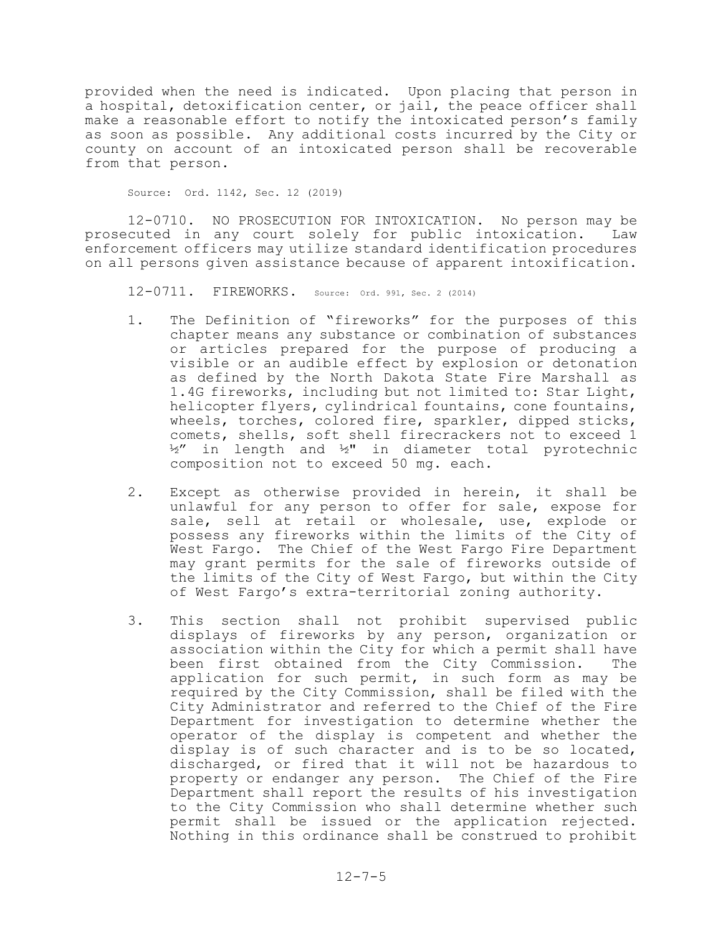provided when the need is indicated. Upon placing that person in a hospital, detoxification center, or jail, the peace officer shall make a reasonable effort to notify the intoxicated person's family as soon as possible. Any additional costs incurred by the City or county on account of an intoxicated person shall be recoverable from that person.

Source: Ord. 1142, Sec. 12 (2019)

12-0710. NO PROSECUTION FOR INTOXICATION. No person may be prosecuted in any court solely for public intoxication. Law enforcement officers may utilize standard identification procedures on all persons given assistance because of apparent intoxification.

12-0711. FIREWORKS. Source: Ord. 991, Sec. <sup>2</sup> (2014)

- 1. The Definition of "fireworks" for the purposes of this chapter means any substance or combination of substances or articles prepared for the purpose of producing a visible or an audible effect by explosion or detonation as defined by the North Dakota State Fire Marshall as 1.4G fireworks, including but not limited to: Star Light, helicopter flyers, cylindrical fountains, cone fountains, wheels, torches, colored fire, sparkler, dipped sticks, comets, shells, soft shell firecrackers not to exceed 1 ½" in length and ½" in diameter total pyrotechnic composition not to exceed 50 mg. each.
- 2. Except as otherwise provided in herein, it shall be unlawful for any person to offer for sale, expose for sale, sell at retail or wholesale, use, explode or possess any fireworks within the limits of the City of West Fargo. The Chief of the West Fargo Fire Department may grant permits for the sale of fireworks outside of the limits of the City of West Fargo, but within the City of West Fargo's extra-territorial zoning authority.
- 3. This section shall not prohibit supervised public displays of fireworks by any person, organization or association within the City for which a permit shall have been first obtained from the City Commission. The application for such permit, in such form as may be required by the City Commission, shall be filed with the City Administrator and referred to the Chief of the Fire Department for investigation to determine whether the operator of the display is competent and whether the display is of such character and is to be so located, discharged, or fired that it will not be hazardous to property or endanger any person. The Chief of the Fire Department shall report the results of his investigation to the City Commission who shall determine whether such permit shall be issued or the application rejected. Nothing in this ordinance shall be construed to prohibit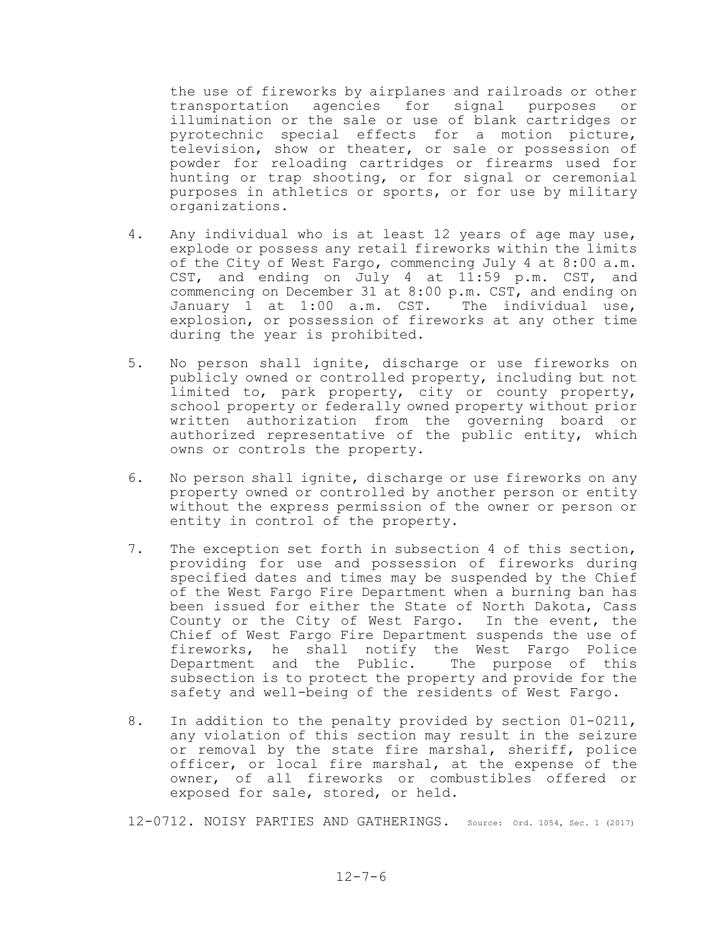the use of fireworks by airplanes and railroads or other transportation agencies for signal purposes or illumination or the sale or use of blank cartridges or pyrotechnic special effects for a motion picture, television, show or theater, or sale or possession of powder for reloading cartridges or firearms used for hunting or trap shooting, or for signal or ceremonial purposes in athletics or sports, or for use by military organizations.

- 4. Any individual who is at least 12 years of age may use, explode or possess any retail fireworks within the limits of the City of West Fargo, commencing July 4 at 8:00 a.m. CST, and ending on July 4 at 11:59 p.m. CST, and commencing on December 31 at 8:00 p.m. CST, and ending on January 1 at 1:00 a.m. CST. The individual use, explosion, or possession of fireworks at any other time during the year is prohibited.
- 5. No person shall ignite, discharge or use fireworks on publicly owned or controlled property, including but not limited to, park property, city or county property, school property or federally owned property without prior written authorization from the governing board or authorized representative of the public entity, which owns or controls the property.
- 6. No person shall ignite, discharge or use fireworks on any property owned or controlled by another person or entity without the express permission of the owner or person or entity in control of the property.
- 7. The exception set forth in subsection 4 of this section, providing for use and possession of fireworks during specified dates and times may be suspended by the Chief of the West Fargo Fire Department when a burning ban has been issued for either the State of North Dakota, Cass County or the City of West Fargo. In the event, the Chief of West Fargo Fire Department suspends the use of fireworks, he shall notify the West Fargo Police Department and the Public. The purpose of this subsection is to protect the property and provide for the safety and well-being of the residents of West Fargo.
- 8. In addition to the penalty provided by section 01-0211, any violation of this section may result in the seizure or removal by the state fire marshal, sheriff, police officer, or local fire marshal, at the expense of the owner, of all fireworks or combustibles offered or exposed for sale, stored, or held.

12-0712. NOISY PARTIES AND GATHERINGS. Source: Ord. 1054, Sec. <sup>1</sup> (2017)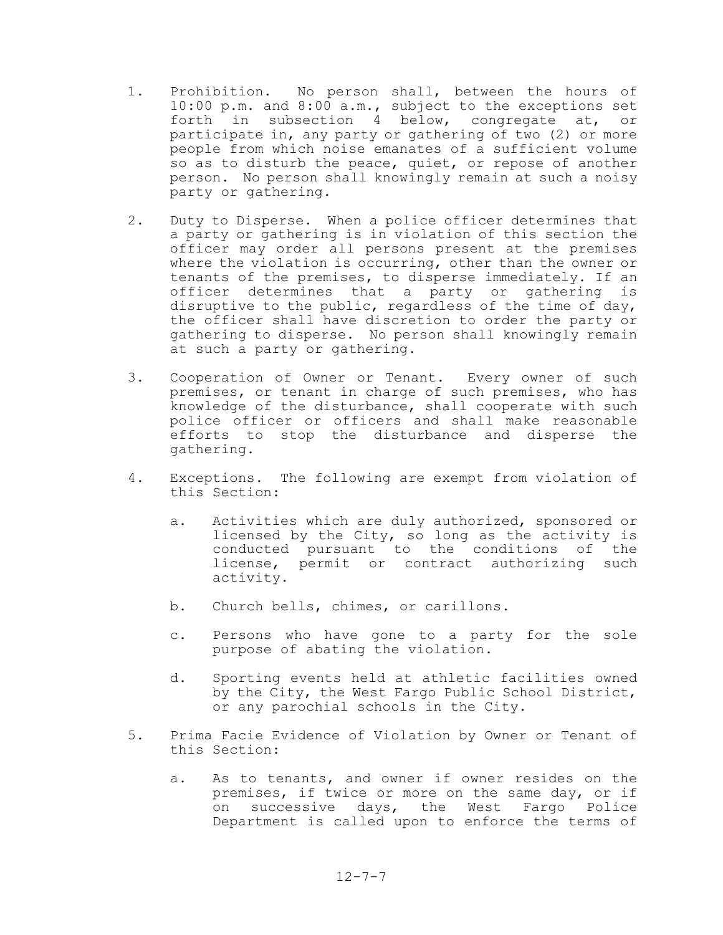- 1. Prohibition. No person shall, between the hours of 10:00 p.m. and 8:00 a.m., subject to the exceptions set forth in subsection 4 below, congregate at, or participate in, any party or gathering of two (2) or more people from which noise emanates of a sufficient volume so as to disturb the peace, quiet, or repose of another person. No person shall knowingly remain at such a noisy party or gathering.
- 2. Duty to Disperse. When a police officer determines that a party or gathering is in violation of this section the officer may order all persons present at the premises where the violation is occurring, other than the owner or tenants of the premises, to disperse immediately. If an officer determines that a party or gathering is disruptive to the public, regardless of the time of day, the officer shall have discretion to order the party or gathering to disperse. No person shall knowingly remain at such a party or gathering.
- 3. Cooperation of Owner or Tenant. Every owner of such premises, or tenant in charge of such premises, who has knowledge of the disturbance, shall cooperate with such police officer or officers and shall make reasonable efforts to stop the disturbance and disperse the gathering.
- 4. Exceptions. The following are exempt from violation of this Section:
	- a. Activities which are duly authorized, sponsored or licensed by the City, so long as the activity is conducted pursuant to the conditions of the license, permit or contract authorizing such activity.
	- b. Church bells, chimes, or carillons.
	- c. Persons who have gone to a party for the sole purpose of abating the violation.
	- d. Sporting events held at athletic facilities owned by the City, the West Fargo Public School District, or any parochial schools in the City.
- 5. Prima Facie Evidence of Violation by Owner or Tenant of this Section:
	- a. As to tenants, and owner if owner resides on the premises, if twice or more on the same day, or if on successive days, the West Fargo Police Department is called upon to enforce the terms of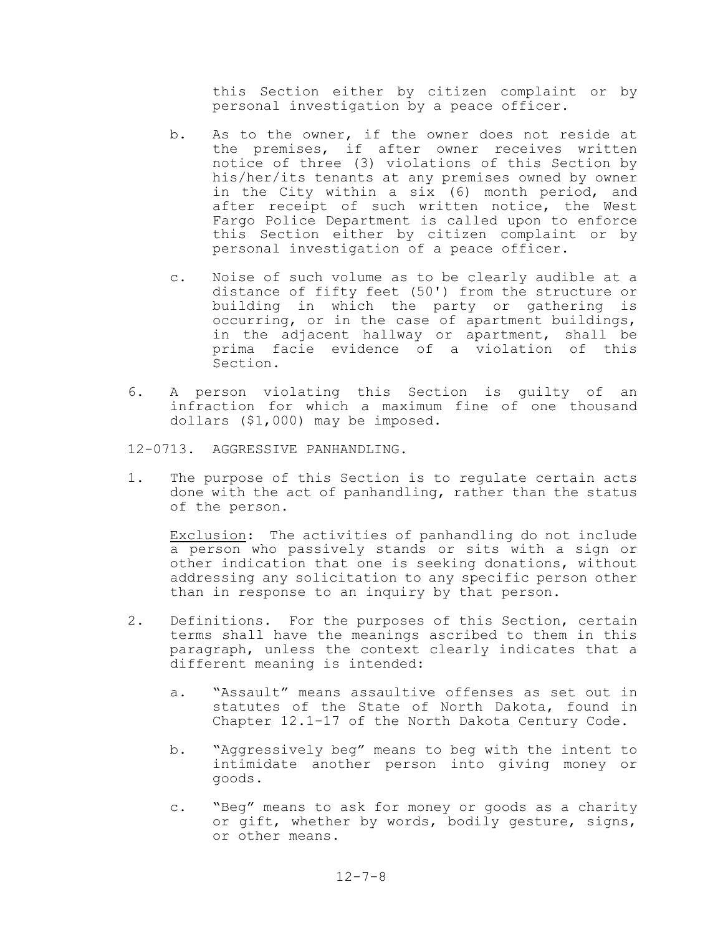this Section either by citizen complaint or by personal investigation by a peace officer.

- b. As to the owner, if the owner does not reside at the premises, if after owner receives written notice of three (3) violations of this Section by his/her/its tenants at any premises owned by owner in the City within a six (6) month period, and after receipt of such written notice, the West Fargo Police Department is called upon to enforce this Section either by citizen complaint or by personal investigation of a peace officer.
- c. Noise of such volume as to be clearly audible at a distance of fifty feet (50') from the structure or building in which the party or gathering is occurring, or in the case of apartment buildings, in the adjacent hallway or apartment, shall be prima facie evidence of a violation of this Section.
- 6. A person violating this Section is guilty of an infraction for which a maximum fine of one thousand dollars (\$1,000) may be imposed.
- 12-0713. AGGRESSIVE PANHANDLING.
- 1. The purpose of this Section is to regulate certain acts done with the act of panhandling, rather than the status of the person.

Exclusion: The activities of panhandling do not include a person who passively stands or sits with a sign or other indication that one is seeking donations, without addressing any solicitation to any specific person other than in response to an inquiry by that person.

- 2. Definitions. For the purposes of this Section, certain terms shall have the meanings ascribed to them in this paragraph, unless the context clearly indicates that a different meaning is intended:
	- a. "Assault" means assaultive offenses as set out in statutes of the State of North Dakota, found in Chapter 12.1-17 of the North Dakota Century Code.
	- b. "Aggressively beg" means to beg with the intent to intimidate another person into giving money or goods.
	- c. "Beg" means to ask for money or goods as a charity or gift, whether by words, bodily gesture, signs, or other means.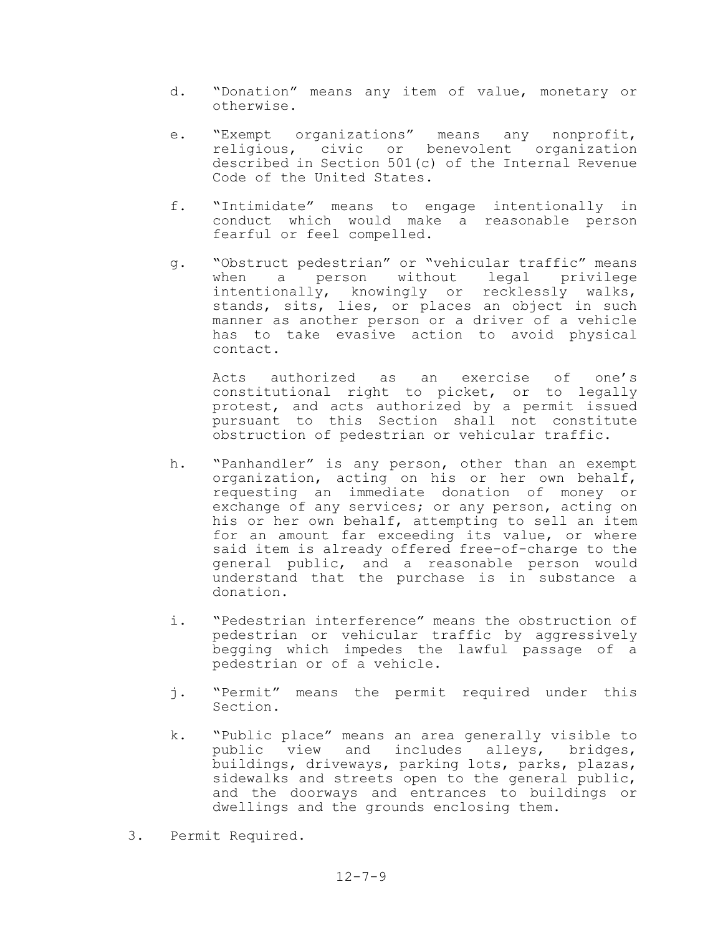- d. "Donation" means any item of value, monetary or otherwise.
- e. "Exempt organizations" means any nonprofit, religious, civic or benevolent organization described in Section 501(c) of the Internal Revenue Code of the United States.
- f. "Intimidate" means to engage intentionally in conduct which would make a reasonable person fearful or feel compelled.
- g. "Obstruct pedestrian" or "vehicular traffic" means when a person without legal privilege intentionally, knowingly or recklessly walks, stands, sits, lies, or places an object in such manner as another person or a driver of a vehicle has to take evasive action to avoid physical contact.

Acts authorized as an exercise of one's constitutional right to picket, or to legally protest, and acts authorized by a permit issued pursuant to this Section shall not constitute obstruction of pedestrian or vehicular traffic.

- h. "Panhandler" is any person, other than an exempt organization, acting on his or her own behalf, requesting an immediate donation of money or exchange of any services; or any person, acting on his or her own behalf, attempting to sell an item for an amount far exceeding its value, or where said item is already offered free-of-charge to the general public, and a reasonable person would understand that the purchase is in substance a donation.
- i. "Pedestrian interference" means the obstruction of pedestrian or vehicular traffic by aggressively begging which impedes the lawful passage of a pedestrian or of a vehicle.
- j. "Permit" means the permit required under this Section.
- k. "Public place" means an area generally visible to public view and includes alleys, bridges, buildings, driveways, parking lots, parks, plazas, sidewalks and streets open to the general public, and the doorways and entrances to buildings or dwellings and the grounds enclosing them.
- 3. Permit Required.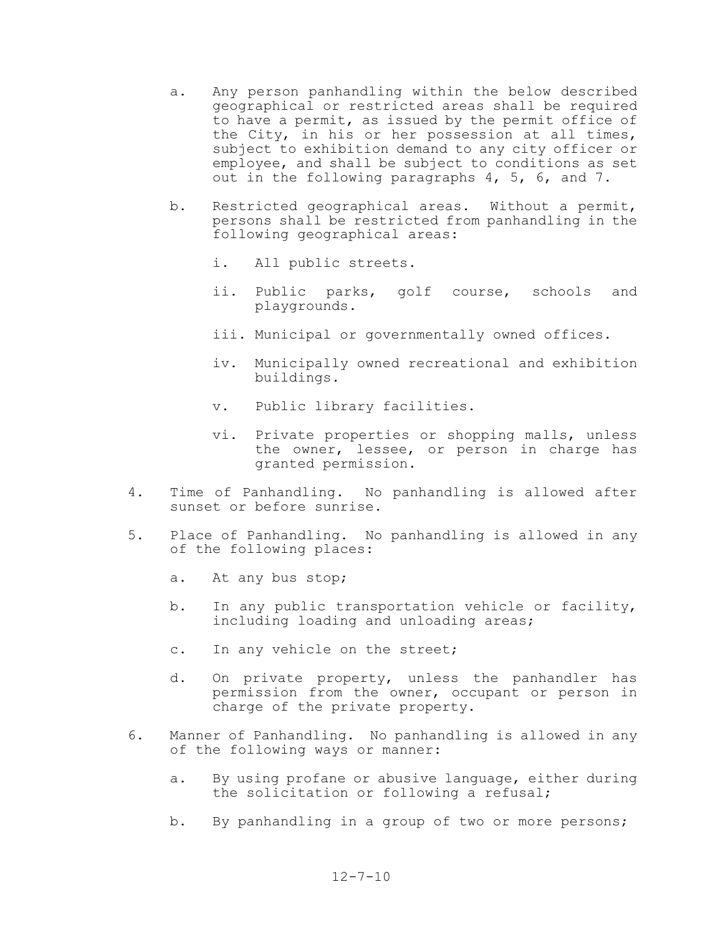- a. Any person panhandling within the below described geographical or restricted areas shall be required to have a permit, as issued by the permit office of the City, in his or her possession at all times, subject to exhibition demand to any city officer or employee, and shall be subject to conditions as set out in the following paragraphs 4, 5, 6, and 7.
- b. Restricted geographical areas. Without a permit, persons shall be restricted from panhandling in the following geographical areas:
	- i. All public streets.
	- ii. Public parks, golf course, schools and playgrounds.
	- iii. Municipal or governmentally owned offices.
	- iv. Municipally owned recreational and exhibition buildings.
	- v. Public library facilities.
	- vi. Private properties or shopping malls, unless the owner, lessee, or person in charge has granted permission.
- 4. Time of Panhandling. No panhandling is allowed after sunset or before sunrise.
- 5. Place of Panhandling. No panhandling is allowed in any of the following places:
	- a. At any bus stop;
	- b. In any public transportation vehicle or facility, including loading and unloading areas;
	- c. In any vehicle on the street;
	- d. On private property, unless the panhandler has permission from the owner, occupant or person in charge of the private property.
- 6. Manner of Panhandling. No panhandling is allowed in any of the following ways or manner:
	- a. By using profane or abusive language, either during the solicitation or following a refusal;
	- b. By panhandling in a group of two or more persons;

#### $12 - 7 - 10$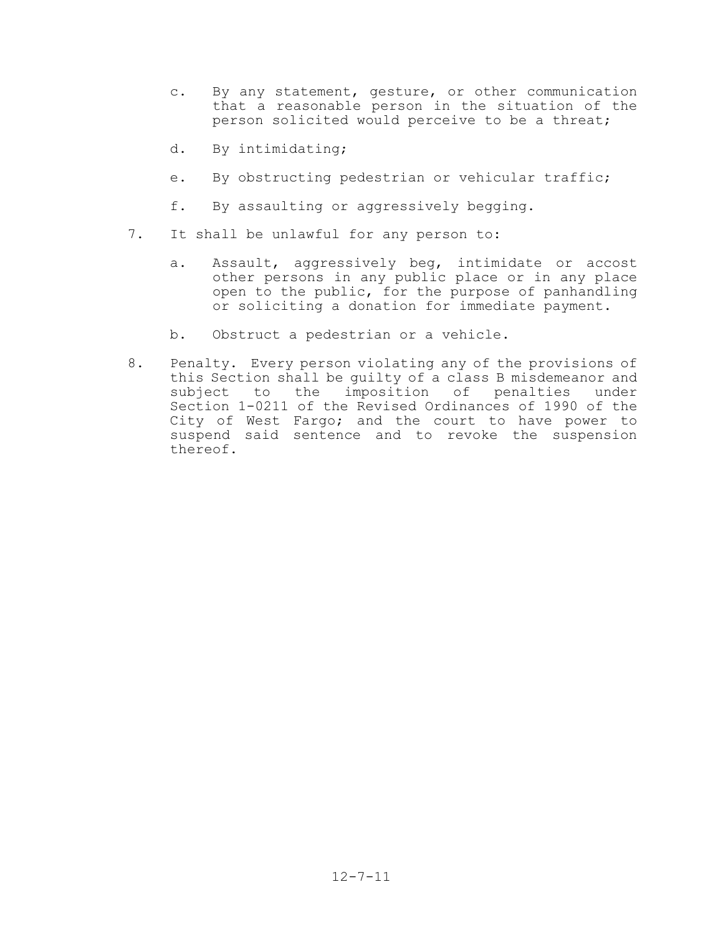- c. By any statement, gesture, or other communication that a reasonable person in the situation of the person solicited would perceive to be a threat;
- d. By intimidating;
- e. By obstructing pedestrian or vehicular traffic;
- f. By assaulting or aggressively begging.
- 7. It shall be unlawful for any person to:
	- a. Assault, aggressively beg, intimidate or accost other persons in any public place or in any place open to the public, for the purpose of panhandling or soliciting a donation for immediate payment.
	- b. Obstruct a pedestrian or a vehicle.
- 8. Penalty. Every person violating any of the provisions of this Section shall be guilty of a class B misdemeanor and subject to the imposition of penalties under Section 1-0211 of the Revised Ordinances of 1990 of the City of West Fargo; and the court to have power to suspend said sentence and to revoke the suspension thereof.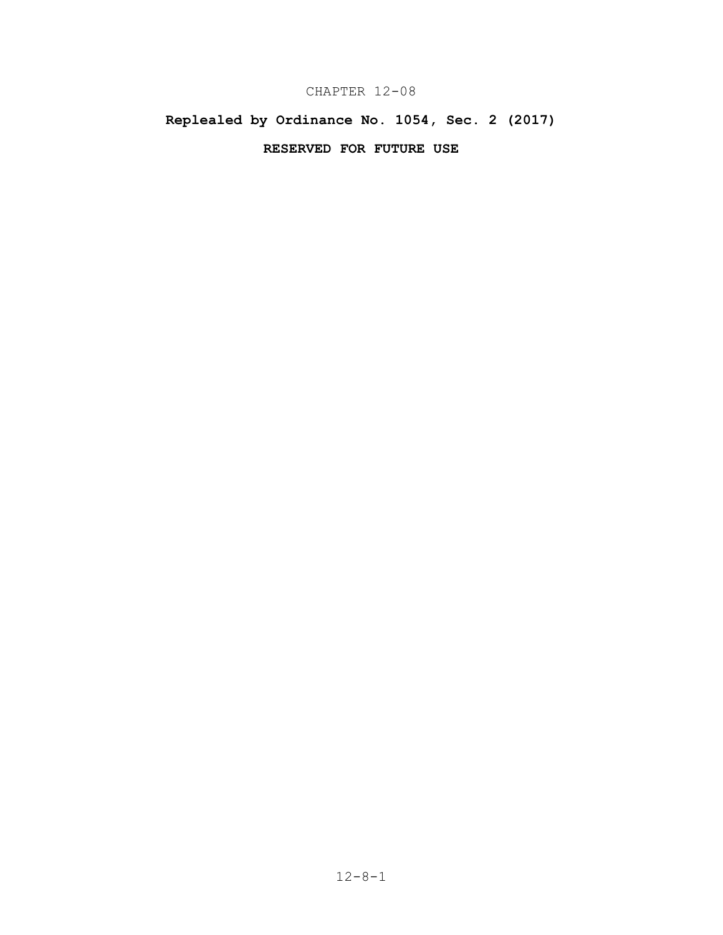# CHAPTER 12-08

# **Replealed by Ordinance No. 1054, Sec. 2 (2017)**

# **RESERVED FOR FUTURE USE**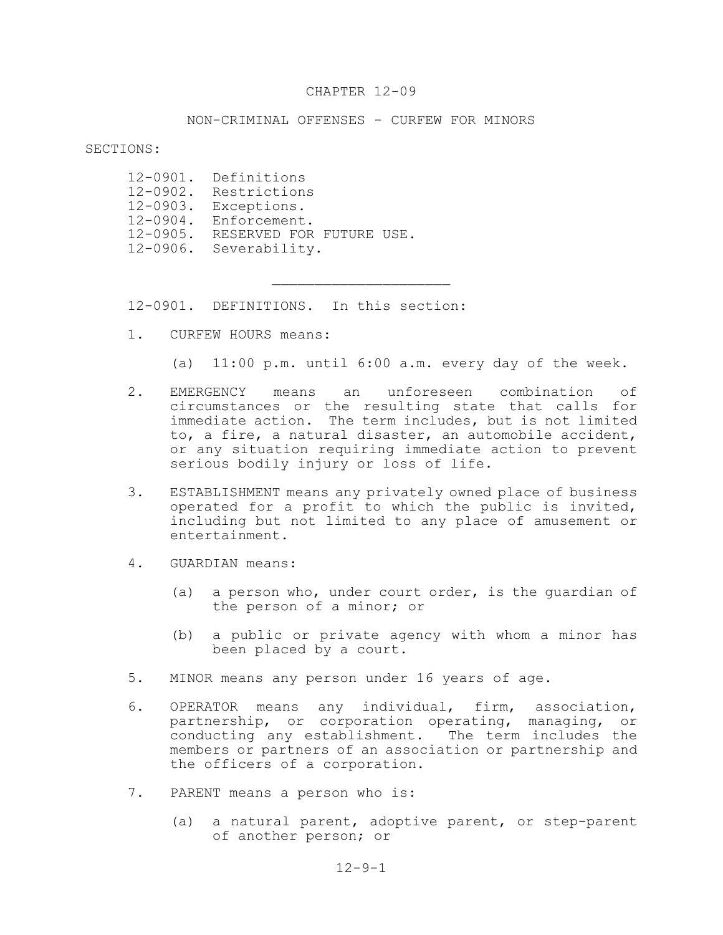#### CHAPTER 12-09

#### NON-CRIMINAL OFFENSES - CURFEW FOR MINORS

 $\mathcal{L}_\text{max}$ 

#### SECTIONS:

12-0901. Definitions 12-0902. Restrictions 12-0903. Exceptions. 12-0904. Enforcement. 12-0905. RESERVED FOR FUTURE USE. 12-0906. Severability.

12-0901. DEFINITIONS. In this section:

1. CURFEW HOURS means:

(a) 11:00 p.m. until 6:00 a.m. every day of the week.

- 2. EMERGENCY means an unforeseen combination of circumstances or the resulting state that calls for immediate action. The term includes, but is not limited to, a fire, a natural disaster, an automobile accident, or any situation requiring immediate action to prevent serious bodily injury or loss of life.
- 3. ESTABLISHMENT means any privately owned place of business operated for a profit to which the public is invited, including but not limited to any place of amusement or entertainment.
- 4. GUARDIAN means:
	- (a) a person who, under court order, is the guardian of the person of a minor; or
	- (b) a public or private agency with whom a minor has been placed by a court.
- 5. MINOR means any person under 16 years of age.
- 6. OPERATOR means any individual, firm, association, partnership, or corporation operating, managing, or conducting any establishment. The term includes the members or partners of an association or partnership and the officers of a corporation.
- 7. PARENT means a person who is:
	- (a) a natural parent, adoptive parent, or step-parent of another person; or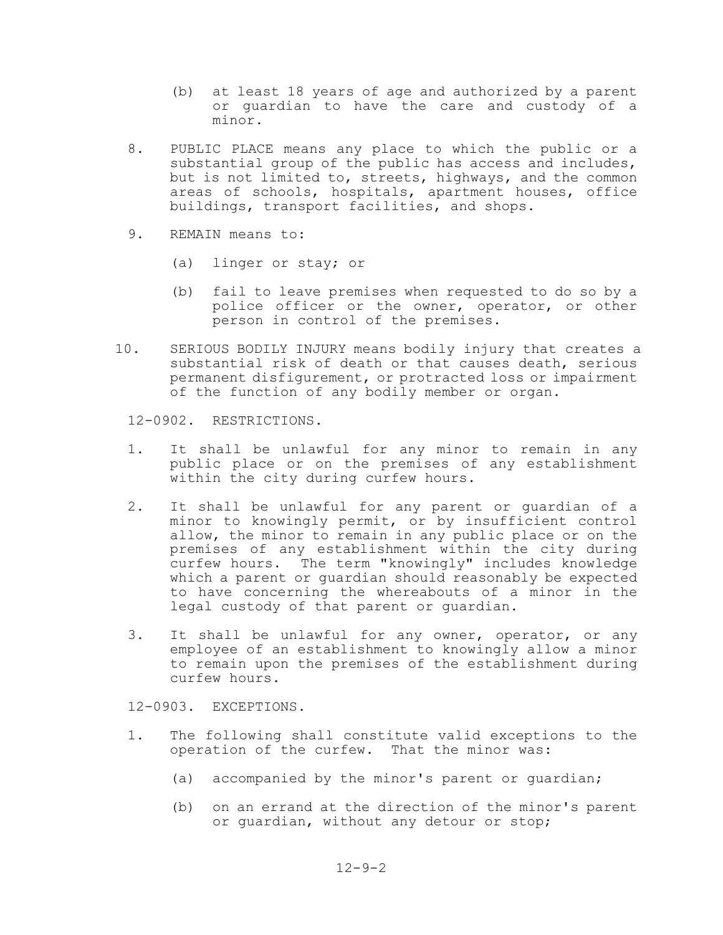- (b) at least 18 years of age and authorized by a parent or guardian to have the care and custody of a minor.
- 8. PUBLIC PLACE means any place to which the public or a substantial group of the public has access and includes, but is not limited to, streets, highways, and the common areas of schools, hospitals, apartment houses, office buildings, transport facilities, and shops.
- 9. REMAIN means to:
	- (a) linger or stay; or
	- (b) fail to leave premises when requested to do so by a police officer or the owner, operator, or other person in control of the premises.
- 10. SERIOUS BODILY INJURY means bodily injury that creates a substantial risk of death or that causes death, serious permanent disfigurement, or protracted loss or impairment of the function of any bodily member or organ.

12-0902. RESTRICTIONS.

- 1. It shall be unlawful for any minor to remain in any public place or on the premises of any establishment within the city during curfew hours.
- 2. It shall be unlawful for any parent or guardian of a minor to knowingly permit, or by insufficient control allow, the minor to remain in any public place or on the premises of any establishment within the city during curfew hours. The term "knowingly" includes knowledge which a parent or quardian should reasonably be expected to have concerning the whereabouts of a minor in the legal custody of that parent or guardian.
- 3. It shall be unlawful for any owner, operator, or any employee of an establishment to knowingly allow a minor to remain upon the premises of the establishment during curfew hours.

12-0903. EXCEPTIONS.

- 1. The following shall constitute valid exceptions to the operation of the curfew. That the minor was:
	- (a) accompanied by the minor's parent or guardian;
	- (b) on an errand at the direction of the minor's parent or guardian, without any detour or stop;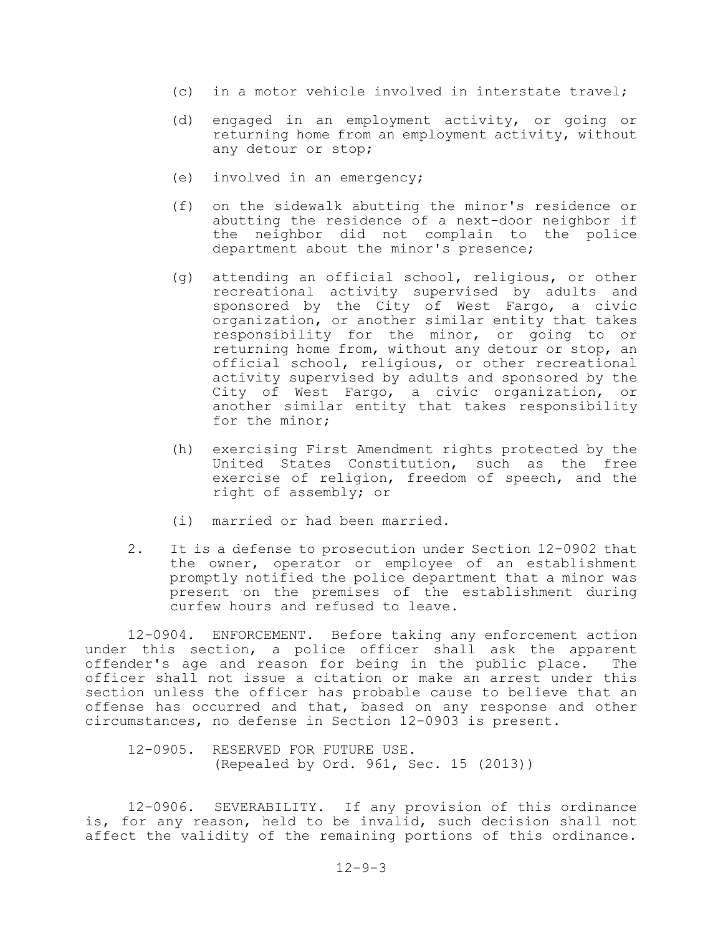- (c) in a motor vehicle involved in interstate travel;
- (d) engaged in an employment activity, or going or returning home from an employment activity, without any detour or stop;
- (e) involved in an emergency;
- (f) on the sidewalk abutting the minor's residence or abutting the residence of a next-door neighbor if the neighbor did not complain to the police department about the minor's presence;
- (g) attending an official school, religious, or other recreational activity supervised by adults and sponsored by the City of West Fargo, a civic organization, or another similar entity that takes responsibility for the minor, or going to or returning home from, without any detour or stop, an official school, religious, or other recreational activity supervised by adults and sponsored by the City of West Fargo, a civic organization, or another similar entity that takes responsibility for the minor;
- (h) exercising First Amendment rights protected by the United States Constitution, such as the free exercise of religion, freedom of speech, and the right of assembly; or
- (i) married or had been married.
- 2. It is a defense to prosecution under Section 12-0902 that the owner, operator or employee of an establishment promptly notified the police department that a minor was present on the premises of the establishment during curfew hours and refused to leave.

12-0904. ENFORCEMENT. Before taking any enforcement action under this section, a police officer shall ask the apparent offender's age and reason for being in the public place. The officer shall not issue a citation or make an arrest under this section unless the officer has probable cause to believe that an offense has occurred and that, based on any response and other circumstances, no defense in Section 12-0903 is present.

12-0905. RESERVED FOR FUTURE USE. (Repealed by Ord. 961, Sec. 15 (2013))

12-0906. SEVERABILITY. If any provision of this ordinance is, for any reason, held to be invalid, such decision shall not affect the validity of the remaining portions of this ordinance.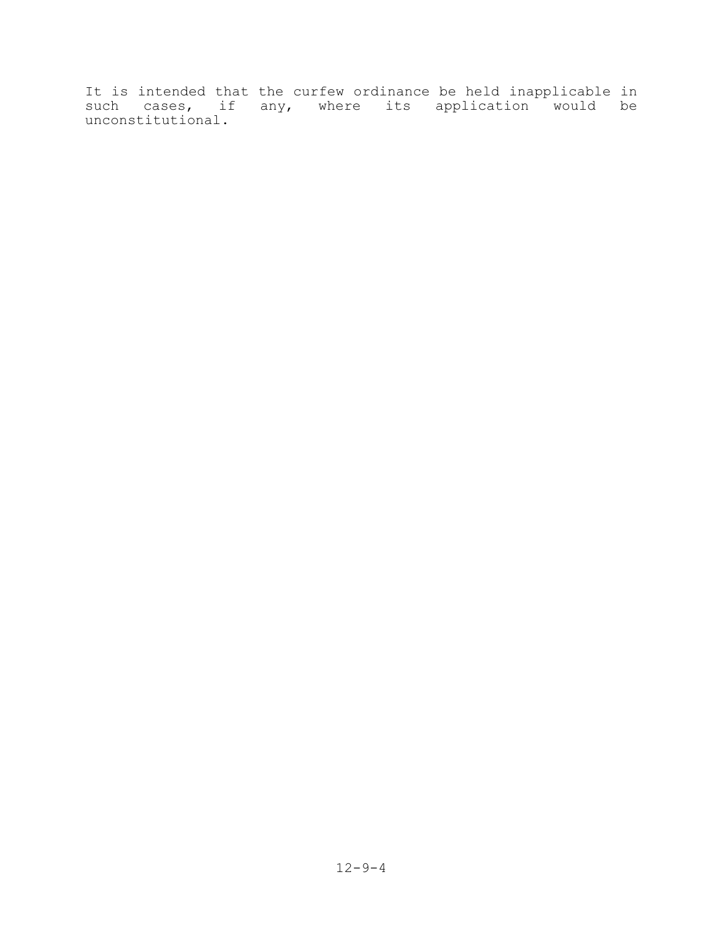It is intended that the curfew ordinance be held inapplicable in such cases, if any, where its application would be unconstitutional.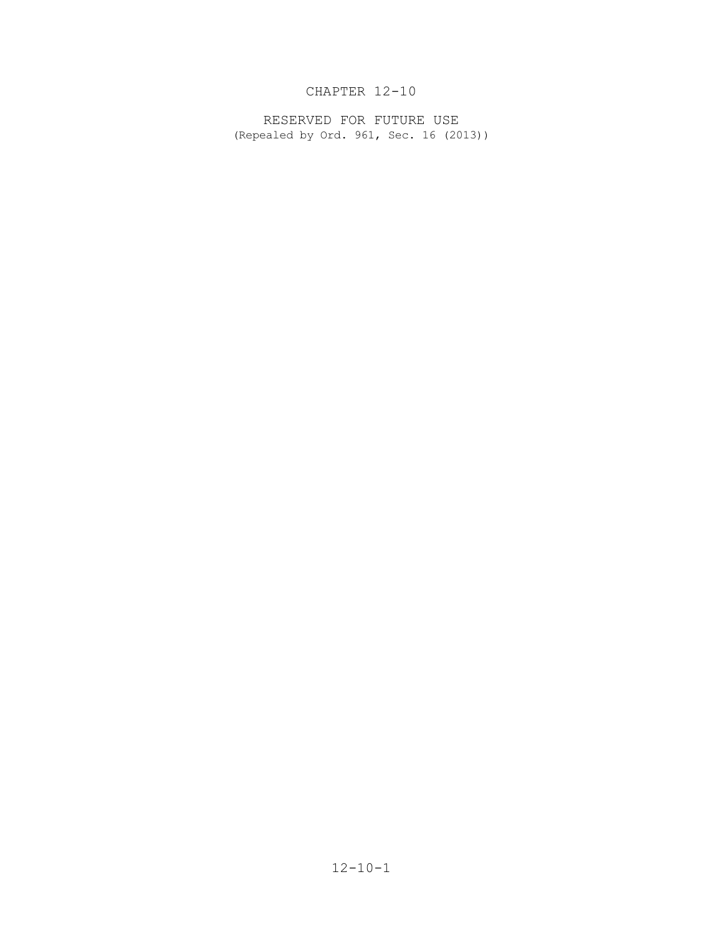# CHAPTER 12-10

RESERVED FOR FUTURE USE (Repealed by Ord. 961, Sec. 16 (2013))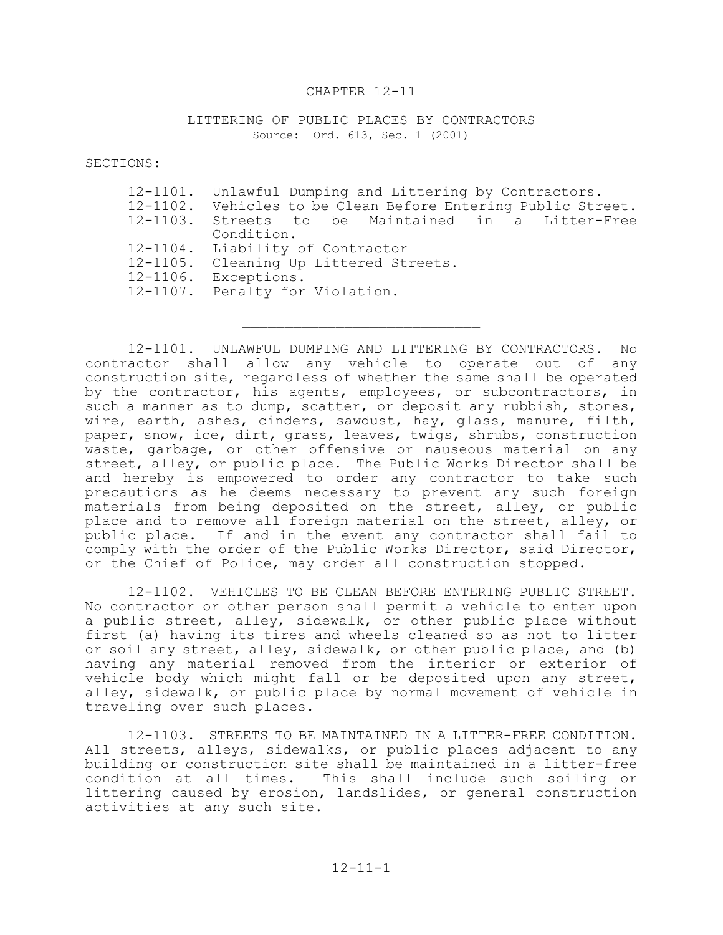#### CHAPTER 12-11

#### LITTERING OF PUBLIC PLACES BY CONTRACTORS Source: Ord. 613, Sec. 1 (2001)

SECTIONS:

| 12-1101. Unlawful Dumping and Littering by Contractors.      |
|--------------------------------------------------------------|
| 12-1102. Vehicles to be Clean Before Entering Public Street. |
| 12-1103. Streets to be Maintained in a Litter-Free           |
| Condition.                                                   |
| 12-1104. Liability of Contractor                             |
| 12-1105. Cleaning Up Littered Streets.                       |
| 12-1106. Exceptions.                                         |
| 12-1107. Penalty for Violation.                              |
|                                                              |

12-1101. UNLAWFUL DUMPING AND LITTERING BY CONTRACTORS. No contractor shall allow any vehicle to operate out of any construction site, regardless of whether the same shall be operated by the contractor, his agents, employees, or subcontractors, in such a manner as to dump, scatter, or deposit any rubbish, stones, wire, earth, ashes, cinders, sawdust, hay, glass, manure, filth, paper, snow, ice, dirt, grass, leaves, twigs, shrubs, construction waste, garbage, or other offensive or nauseous material on any street, alley, or public place. The Public Works Director shall be and hereby is empowered to order any contractor to take such precautions as he deems necessary to prevent any such foreign materials from being deposited on the street, alley, or public place and to remove all foreign material on the street, alley, or public place. If and in the event any contractor shall fail to comply with the order of the Public Works Director, said Director, or the Chief of Police, may order all construction stopped.

12-1102. VEHICLES TO BE CLEAN BEFORE ENTERING PUBLIC STREET. No contractor or other person shall permit a vehicle to enter upon a public street, alley, sidewalk, or other public place without first (a) having its tires and wheels cleaned so as not to litter or soil any street, alley, sidewalk, or other public place, and (b) having any material removed from the interior or exterior of vehicle body which might fall or be deposited upon any street, alley, sidewalk, or public place by normal movement of vehicle in traveling over such places.

12-1103. STREETS TO BE MAINTAINED IN A LITTER-FREE CONDITION. All streets, alleys, sidewalks, or public places adjacent to any building or construction site shall be maintained in a litter-free condition at all times. This shall include such soiling or littering caused by erosion, landslides, or general construction activities at any such site.